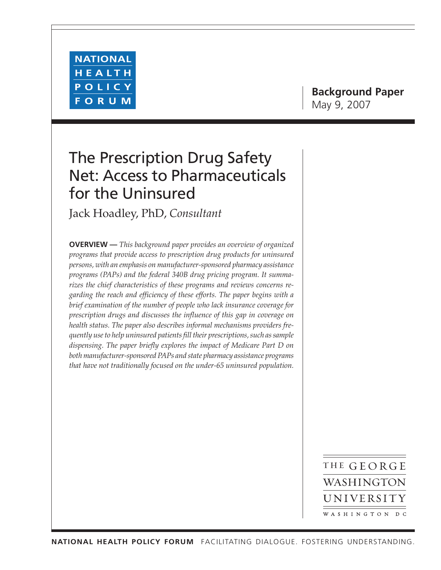

# **Background Paper** May 9, 2007

# The Prescription Drug Safety Net: Access to Pharmaceuticals for the Uninsured

Jack Hoadley, PhD, *Consultant*

**OVERVIEW —** *This background paper provides an overview of organized programs that provide access to prescription drug products for uninsured persons, with an emphasis on manufacturer-sponsored pharmacy assistance programs (PAPs) and the federal 340B drug pricing program. It summarizes the chief characteristics of these programs and reviews concerns regarding the reach and efficiency of these efforts. The paper begins with a brief examination of the number of people who lack insurance coverage for prescription drugs and discusses the influence of this gap in coverage on health status. The paper also describes informal mechanisms providers frequently use to help uninsured patients fill their prescriptions, such as sample dispensing. The paper briefly explores the impact of Medicare Part D on both manufacturer-sponsored PAPs and state pharmacy assistance programs that have not traditionally focused on the under-65 uninsured population.*

> THE GEORGE WASHINGTON UNIVERSITY WASHINGTON DC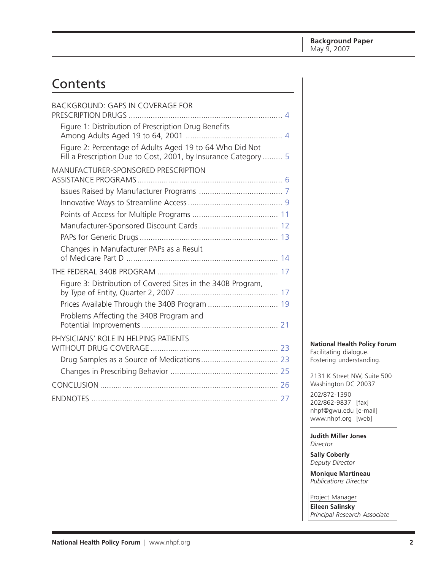# Contents

| <b>BACKGROUND: GAPS IN COVERAGE FOR</b>                                                                                     |
|-----------------------------------------------------------------------------------------------------------------------------|
| Figure 1: Distribution of Prescription Drug Benefits                                                                        |
| Figure 2: Percentage of Adults Aged 19 to 64 Who Did Not<br>Fill a Prescription Due to Cost, 2001, by Insurance Category  5 |
| MANUFACTURER-SPONSORED PRESCRIPTION                                                                                         |
|                                                                                                                             |
|                                                                                                                             |
|                                                                                                                             |
|                                                                                                                             |
|                                                                                                                             |
| Changes in Manufacturer PAPs as a Result                                                                                    |
|                                                                                                                             |
| Figure 3: Distribution of Covered Sites in the 340B Program,                                                                |
|                                                                                                                             |
| Problems Affecting the 340B Program and                                                                                     |
|                                                                                                                             |
| PHYSICIANS' ROLE IN HELPING PATIENTS                                                                                        |
|                                                                                                                             |
|                                                                                                                             |
|                                                                                                                             |
|                                                                                                                             |
|                                                                                                                             |

**National Health Policy Forum**

Facilitating dialogue. Fostering understanding.

2131 K Street NW, Suite 500 Washington DC 20037

202/872-1390 202/862-9837 [fax] [nhpf@gwu.edu \[e](mailto:nhpf@gwu.edu)-mail] [www.nhpf.org \[](http://www.nhpf.org)web]

**Judith Miller Jones** *Director*

**Sally Coberly** *Deputy Director*

**Monique Martineau** *Publications Director*

Project Manager **Eileen Salinsky**

*Principal Research Associate*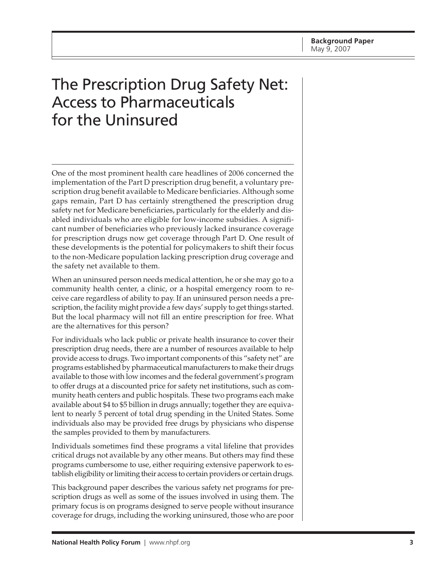# The Prescription Drug Safety Net: Access to Pharmaceuticals for the Uninsured

One of the most prominent health care headlines of 2006 concerned the implementation of the Part D prescription drug benefit, a voluntary prescription drug benefit available to Medicare benficiaries. Although some gaps remain, Part D has certainly strengthened the prescription drug safety net for Medicare beneficiaries, particularly for the elderly and disabled individuals who are eligible for low-income subsidies. A significant number of beneficiaries who previously lacked insurance coverage for prescription drugs now get coverage through Part D. One result of these developments is the potential for policymakers to shift their focus to the non-Medicare population lacking prescription drug coverage and the safety net available to them.

When an uninsured person needs medical attention, he or she may go to a community health center, a clinic, or a hospital emergency room to receive care regardless of ability to pay. If an uninsured person needs a prescription, the facility might provide a few days' supply to get things started. But the local pharmacy will not fill an entire prescription for free. What are the alternatives for this person?

For individuals who lack public or private health insurance to cover their prescription drug needs, there are a number of resources available to help provide access to drugs. Two important components of this "safety net" are programs established by pharmaceutical manufacturers to make their drugs available to those with low incomes and the federal government's program to offer drugs at a discounted price for safety net institutions, such as community heath centers and public hospitals. These two programs each make available about \$4 to \$5 billion in drugs annually; together they are equivalent to nearly 5 percent of total drug spending in the United States. Some individuals also may be provided free drugs by physicians who dispense the samples provided to them by manufacturers.

Individuals sometimes find these programs a vital lifeline that provides critical drugs not available by any other means. But others may find these programs cumbersome to use, either requiring extensive paperwork to establish eligibility or limiting their access to certain providers or certain drugs.

This background paper describes the various safety net programs for prescription drugs as well as some of the issues involved in using them. The primary focus is on programs designed to serve people without insurance coverage for drugs, including the working uninsured, those who are poor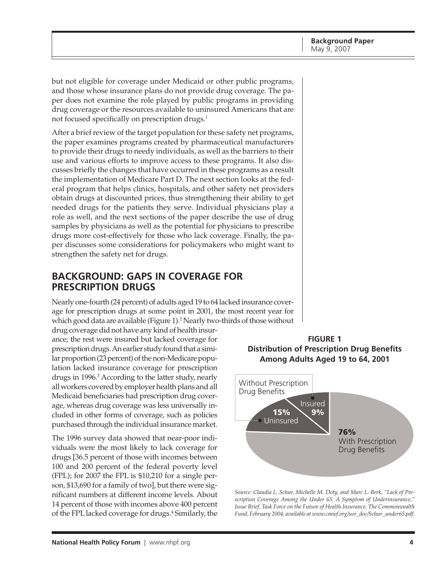<span id="page-3-0"></span>but not eligible for coverage under Medicaid or other public programs, and those whose insurance plans do not provide drug coverage. The paper does not examine the role played by public programs in providing drug coverage or the resources available to uninsured Americans that are not focused specifically on prescription drugs.<sup>1</sup>

After a brief review of the target population for these safety net programs, the paper examines programs created by pharmaceutical manufacturers to provide their drugs to needy individuals, as well as the barriers to their use and various efforts to improve access to these programs. It also discusses briefly the changes that have occurred in these programs as a result the implementation of Medicare Part D. The next section looks at the federal program that helps clinics, hospitals, and other safety net providers obtain drugs at discounted prices, thus strengthening their ability to get needed drugs for the patients they serve. Individual physicians play a role as well, and the next sections of the paper describe the use of drug samples by physicians as well as the potential for physicians to prescribe drugs more cost-effectively for those who lack coverage. Finally, the paper discusses some considerations for policymakers who might want to strengthen the safety net for drugs.

# **BACKGROUND: GAPS IN COVERAGE FOR PRESCRIPTION DRUGS**

Nearly one-fourth (24 percent) of adults aged 19 to 64 lacked insurance coverage for prescription drugs at some point in 2001, the most recent year for which good data are available (Figure 1).2 Nearly two-thirds of those without

drug coverage did not have any kind of health insurance; the rest were insured but lacked coverage for prescription drugs. An earlier study found that a similar proportion (23 percent) of the non-Medicare population lacked insurance coverage for prescription drugs in 1996.3 According to the latter study, nearly all workers covered by employer health plans and all Medicaid beneficiaries had prescription drug coverage, whereas drug coverage was less universally included in other forms of coverage, such as policies purchased through the individual insurance market.

The 1996 survey data showed that near-poor individuals were the most likely to lack coverage for drugs [36.5 percent of those with incomes between 100 and 200 percent of the federal poverty level (FPL); for 2007 the FPL is \$10,210 for a single person, \$13,690 for a family of two], but there were significant numbers at different income levels. About 14 percent of those with incomes above 400 percent of the FPL lacked coverage for drugs.<sup>4</sup> Similarly, the

**FIGURE 1 Distribution of Prescription Drug Benefits Among Adults Aged 19 to 64, 2001**



*Source: Claudia L. Schur, Michelle M. Doty, and Marc L. Berk, "Lack of Prescription Coverage Among the Under 65: A Symptom of Underinsurance," Issue Brief, Task Force on the Future of Health Insurance, The Commonwealth Fund, February 2004; available at [www.cmwf.org/usr\\_doc/Schur\\_under65.pdf.](http://www.cmwf.org/usr_doc/Schur_under65.pdf)*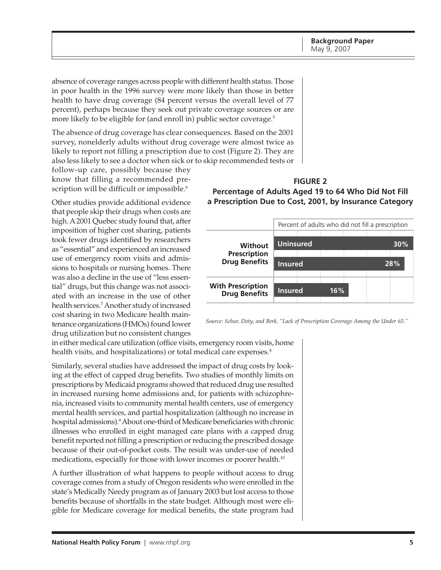<span id="page-4-0"></span>absence of coverage ranges across people with different health status. Those in poor health in the 1996 survey were more likely than those in better health to have drug coverage (84 percent versus the overall level of 77 percent), perhaps because they seek out private coverage sources or are more likely to be eligible for (and enroll in) public sector coverage.<sup>5</sup>

The absence of drug coverage has clear consequences. Based on the 2001 survey, nonelderly adults without drug coverage were almost twice as likely to report not filling a prescription due to cost (Figure 2). They are also less likely to see a doctor when sick or to skip recommended tests or

follow-up care, possibly because they know that filling a recommended prescription will be difficult or impossible.<sup>6</sup>

Other studies provide additional evidence that people skip their drugs when costs are high. A 2001 Quebec study found that, after imposition of higher cost sharing, patients took fewer drugs identified by researchers as "essential" and experienced an increased use of emergency room visits and admissions to hospitals or nursing homes. There was also a decline in the use of "less essential" drugs, but this change was not associated with an increase in the use of other health services.7 Another study of increased cost sharing in two Medicare health maintenance organizations (HMOs) found lower drug utilization but no consistent changes

## **FIGURE 2 Percentage of Adults Aged 19 to 64 Who Did Not Fill a Prescription Due to Cost, 2001, by Insurance Category**



*Source: Schur, Doty, and Berk, "Lack of Prescription Coverage Among the Under 65."*

in either medical care utilization (office visits, emergency room visits, home health visits, and hospitalizations) or total medical care expenses.<sup>8</sup>

Similarly, several studies have addressed the impact of drug costs by looking at the effect of capped drug benefits. Two studies of monthly limits on prescriptions by Medicaid programs showed that reduced drug use resulted in increased nursing home admissions and, for patients with schizophrenia, increased visits to community mental health centers, use of emergency mental health services, and partial hospitalization (although no increase in hospital admissions).9 About one-third of Medicare beneficiaries with chronic illnesses who enrolled in eight managed care plans with a capped drug benefit reported not filling a prescription or reducing the prescribed dosage because of their out-of-pocket costs. The result was under-use of needed medications, especially for those with lower incomes or poorer health.<sup>10</sup>

A further illustration of what happens to people without access to drug coverage comes from a study of Oregon residents who were enrolled in the state's Medically Needy program as of January 2003 but lost access to those benefits because of shortfalls in the state budget. Although most were eligible for Medicare coverage for medical benefits, the state program had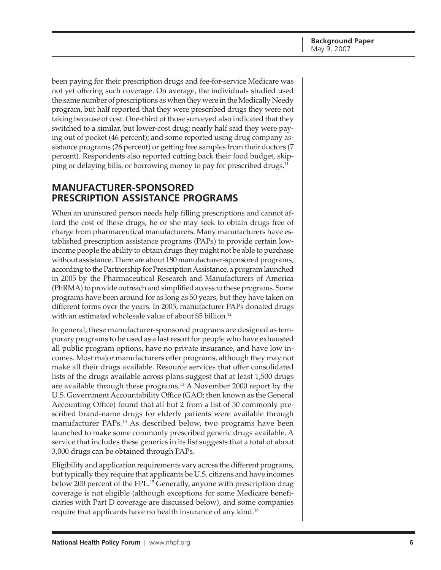<span id="page-5-0"></span>been paying for their prescription drugs and fee-for-service Medicare was not yet offering such coverage. On average, the individuals studied used the same number of prescriptions as when they were in the Medically Needy program, but half reported that they were prescribed drugs they were not taking because of cost. One-third of those surveyed also indicated that they switched to a similar, but lower-cost drug; nearly half said they were paying out of pocket (46 percent); and some reported using drug company assistance programs (26 percent) or getting free samples from their doctors (7 percent). Respondents also reported cutting back their food budget, skipping or delaying bills, or borrowing money to pay for prescribed drugs.<sup>11</sup>

## **MANUFACTURER-SPONSORED PRESCRIPTION ASSISTANCE PROGRAMS**

When an uninsured person needs help filling prescriptions and cannot afford the cost of these drugs, he or she may seek to obtain drugs free of charge from pharmaceutical manufacturers. Many manufacturers have established prescription assistance programs (PAPs) to provide certain lowincome people the ability to obtain drugs they might not be able to purchase without assistance. There are about 180 manufacturer-sponsored programs, according to the Partnership for Prescription Assistance, a program launched in 2005 by the Pharmaceutical Research and Manufacturers of America (PhRMA) to provide outreach and simplified access to these programs. Some programs have been around for as long as 50 years, but they have taken on different forms over the years. In 2005, manufacturer PAPs donated drugs with an estimated wholesale value of about \$5 billion.<sup>12</sup>

In general, these manufacturer-sponsored programs are designed as temporary programs to be used as a last resort for people who have exhausted all public program options, have no private insurance, and have low incomes. Most major manufacturers offer programs, although they may not make all their drugs available. Resource services that offer consolidated lists of the drugs available across plans suggest that at least 1,500 drugs are available through these programs.13 A November 2000 report by the U.S. Government Accountability Office (GAO; then known as the General Accounting Office) found that all but 2 from a list of 50 commonly prescribed brand-name drugs for elderly patients were available through manufacturer PAPs.<sup>14</sup> As described below, two programs have been launched to make some commonly prescribed generic drugs available. A service that includes these generics in its list suggests that a total of about 3,000 drugs can be obtained through PAPs.

Eligibility and application requirements vary across the different programs, but typically they require that applicants be U.S. citizens and have incomes below 200 percent of the FPL.<sup>15</sup> Generally, anyone with prescription drug coverage is not eligible (although exceptions for some Medicare beneficiaries with Part D coverage are discussed below), and some companies require that applicants have no health insurance of any kind.<sup>16</sup>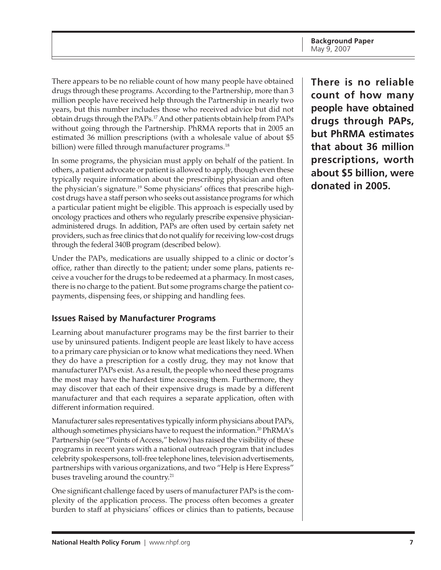<span id="page-6-0"></span>There appears to be no reliable count of how many people have obtained drugs through these programs. According to the Partnership, more than 3 million people have received help through the Partnership in nearly two years, but this number includes those who received advice but did not obtain drugs through the PAPs.17 And other patients obtain help from PAPs without going through the Partnership. PhRMA reports that in 2005 an estimated 36 million prescriptions (with a wholesale value of about \$5 billion) were filled through manufacturer programs.<sup>18</sup>

In some programs, the physician must apply on behalf of the patient. In others, a patient advocate or patient is allowed to apply, though even these typically require information about the prescribing physician and often the physician's signature.19 Some physicians' offices that prescribe highcost drugs have a staff person who seeks out assistance programs for which a particular patient might be eligible. This approach is especially used by oncology practices and others who regularly prescribe expensive physicianadministered drugs. In addition, PAPs are often used by certain safety net providers, such as free clinics that do not qualify for receiving low-cost drugs through the federal 340B program (described below).

Under the PAPs, medications are usually shipped to a clinic or doctor's office, rather than directly to the patient; under some plans, patients receive a voucher for the drugs to be redeemed at a pharmacy. In most cases, there is no charge to the patient. But some programs charge the patient copayments, dispensing fees, or shipping and handling fees.

# **Issues Raised by Manufacturer Programs**

Learning about manufacturer programs may be the first barrier to their use by uninsured patients. Indigent people are least likely to have access to a primary care physician or to know what medications they need. When they do have a prescription for a costly drug, they may not know that manufacturer PAPs exist. As a result, the people who need these programs the most may have the hardest time accessing them. Furthermore, they may discover that each of their expensive drugs is made by a different manufacturer and that each requires a separate application, often with different information required.

Manufacturer sales representatives typically inform physicians about PAPs, although sometimes physicians have to request the information.<sup>20</sup> PhRMA's Partnership (see "Points of Access," below) has raised the visibility of these programs in recent years with a national outreach program that includes celebrity spokespersons, toll-free telephone lines, television advertisements, partnerships with various organizations, and two "Help is Here Express" buses traveling around the country.<sup>21</sup>

One significant challenge faced by users of manufacturer PAPs is the complexity of the application process. The process often becomes a greater burden to staff at physicians' offices or clinics than to patients, because

**There is no reliable count of how many people have obtained drugs through PAPs, but PhRMA estimates that about 36 million prescriptions, worth about \$5 billion, were donated in 2005.**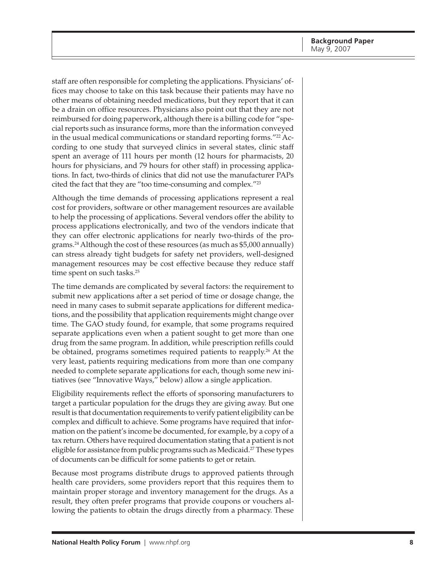staff are often responsible for completing the applications. Physicians' offices may choose to take on this task because their patients may have no other means of obtaining needed medications, but they report that it can be a drain on office resources. Physicians also point out that they are not reimbursed for doing paperwork, although there is a billing code for "special reports such as insurance forms, more than the information conveyed in the usual medical communications or standard reporting forms."<sup>22</sup> According to one study that surveyed clinics in several states, clinic staff spent an average of 111 hours per month (12 hours for pharmacists, 20 hours for physicians, and 79 hours for other staff) in processing applications. In fact, two-thirds of clinics that did not use the manufacturer PAPs cited the fact that they are "too time-consuming and complex."23

Although the time demands of processing applications represent a real cost for providers, software or other management resources are available to help the processing of applications. Several vendors offer the ability to process applications electronically, and two of the vendors indicate that they can offer electronic applications for nearly two-thirds of the programs.24 Although the cost of these resources (as much as \$5,000 annually) can stress already tight budgets for safety net providers, well-designed management resources may be cost effective because they reduce staff time spent on such tasks.<sup>25</sup>

The time demands are complicated by several factors: the requirement to submit new applications after a set period of time or dosage change, the need in many cases to submit separate applications for different medications, and the possibility that application requirements might change over time. The GAO study found, for example, that some programs required separate applications even when a patient sought to get more than one drug from the same program. In addition, while prescription refills could be obtained, programs sometimes required patients to reapply.<sup>26</sup> At the very least, patients requiring medications from more than one company needed to complete separate applications for each, though some new initiatives (see "Innovative Ways," below) allow a single application.

Eligibility requirements reflect the efforts of sponsoring manufacturers to target a particular population for the drugs they are giving away. But one result is that documentation requirements to verify patient eligibility can be complex and difficult to achieve. Some programs have required that information on the patient's income be documented, for example, by a copy of a tax return. Others have required documentation stating that a patient is not eligible for assistance from public programs such as Medicaid.<sup>27</sup> These types of documents can be difficult for some patients to get or retain.

Because most programs distribute drugs to approved patients through health care providers, some providers report that this requires them to maintain proper storage and inventory management for the drugs. As a result, they often prefer programs that provide coupons or vouchers allowing the patients to obtain the drugs directly from a pharmacy. These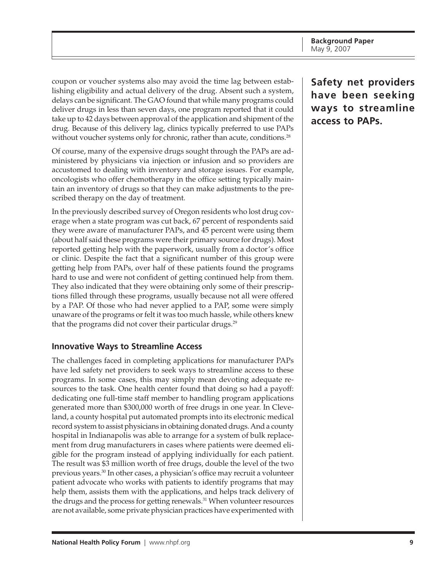<span id="page-8-0"></span>coupon or voucher systems also may avoid the time lag between establishing eligibility and actual delivery of the drug. Absent such a system, delays can be significant. The GAO found that while many programs could deliver drugs in less than seven days, one program reported that it could take up to 42 days between approval of the application and shipment of the drug. Because of this delivery lag, clinics typically preferred to use PAPs without voucher systems only for chronic, rather than acute, conditions.<sup>28</sup>

Of course, many of the expensive drugs sought through the PAPs are administered by physicians via injection or infusion and so providers are accustomed to dealing with inventory and storage issues. For example, oncologists who offer chemotherapy in the office setting typically maintain an inventory of drugs so that they can make adjustments to the prescribed therapy on the day of treatment.

In the previously described survey of Oregon residents who lost drug coverage when a state program was cut back, 67 percent of respondents said they were aware of manufacturer PAPs, and 45 percent were using them (about half said these programs were their primary source for drugs). Most reported getting help with the paperwork, usually from a doctor's office or clinic. Despite the fact that a significant number of this group were getting help from PAPs, over half of these patients found the programs hard to use and were not confident of getting continued help from them. They also indicated that they were obtaining only some of their prescriptions filled through these programs, usually because not all were offered by a PAP. Of those who had never applied to a PAP, some were simply unaware of the programs or felt it was too much hassle, while others knew that the programs did not cover their particular drugs.<sup>29</sup>

#### **Innovative Ways to Streamline Access**

The challenges faced in completing applications for manufacturer PAPs have led safety net providers to seek ways to streamline access to these programs. In some cases, this may simply mean devoting adequate resources to the task. One health center found that doing so had a payoff: dedicating one full-time staff member to handling program applications generated more than \$300,000 worth of free drugs in one year. In Cleveland, a county hospital put automated prompts into its electronic medical record system to assist physicians in obtaining donated drugs. And a county hospital in Indianapolis was able to arrange for a system of bulk replacement from drug manufacturers in cases where patients were deemed eligible for the program instead of applying individually for each patient. The result was \$3 million worth of free drugs, double the level of the two previous years.30 In other cases, a physician's office may recruit a volunteer patient advocate who works with patients to identify programs that may help them, assists them with the applications, and helps track delivery of the drugs and the process for getting renewals.<sup>31</sup> When volunteer resources are not available, some private physician practices have experimented with **Safety net providers have been seeking ways to streamline access to PAPs.**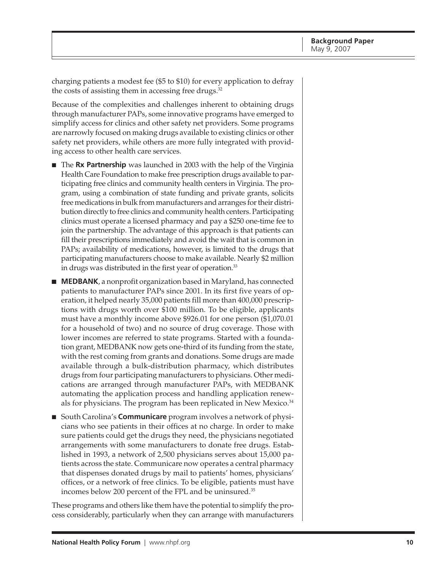charging patients a modest fee (\$5 to \$10) for every application to defray the costs of assisting them in accessing free drugs. $32$ 

Because of the complexities and challenges inherent to obtaining drugs through manufacturer PAPs, some innovative programs have emerged to simplify access for clinics and other safety net providers. Some programs are narrowly focused on making drugs available to existing clinics or other safety net providers, while others are more fully integrated with providing access to other health care services.

- The **Rx Partnership** was launched in 2003 with the help of the Virginia Health Care Foundation to make free prescription drugs available to participating free clinics and community health centers in Virginia. The program, using a combination of state funding and private grants, solicits free medications in bulk from manufacturers and arranges for their distribution directly to free clinics and community health centers. Participating clinics must operate a licensed pharmacy and pay a \$250 one-time fee to join the partnership. The advantage of this approach is that patients can fill their prescriptions immediately and avoid the wait that is common in PAPs; availability of medications, however, is limited to the drugs that participating manufacturers choose to make available. Nearly \$2 million in drugs was distributed in the first year of operation.<sup>33</sup>
- **MEDBANK**, a nonprofit organization based in Maryland, has connected patients to manufacturer PAPs since 2001. In its first five years of operation, it helped nearly 35,000 patients fill more than 400,000 prescriptions with drugs worth over \$100 million. To be eligible, applicants must have a monthly income above \$926.01 for one person (\$1,070.01 for a household of two) and no source of drug coverage. Those with lower incomes are referred to state programs. Started with a foundation grant, MEDBANK now gets one-third of its funding from the state, with the rest coming from grants and donations. Some drugs are made available through a bulk-distribution pharmacy, which distributes drugs from four participating manufacturers to physicians. Other medications are arranged through manufacturer PAPs, with MEDBANK automating the application process and handling application renewals for physicians. The program has been replicated in New Mexico.<sup>34</sup>
- South Carolina's **Communicare** program involves a network of physicians who see patients in their offices at no charge. In order to make sure patients could get the drugs they need, the physicians negotiated arrangements with some manufacturers to donate free drugs. Established in 1993, a network of 2,500 physicians serves about 15,000 patients across the state. Communicare now operates a central pharmacy that dispenses donated drugs by mail to patients' homes, physicians' offices, or a network of free clinics. To be eligible, patients must have incomes below 200 percent of the FPL and be uninsured.35

These programs and others like them have the potential to simplify the process considerably, particularly when they can arrange with manufacturers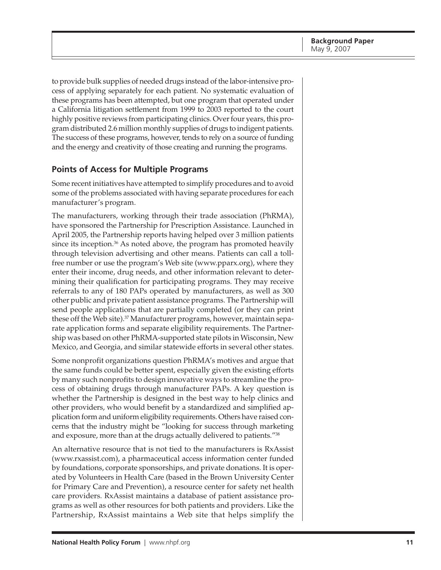<span id="page-10-0"></span>to provide bulk supplies of needed drugs instead of the labor-intensive process of applying separately for each patient. No systematic evaluation of these programs has been attempted, but one program that operated under a California litigation settlement from 1999 to 2003 reported to the court highly positive reviews from participating clinics. Over four years, this program distributed 2.6 million monthly supplies of drugs to indigent patients. The success of these programs, however, tends to rely on a source of funding and the energy and creativity of those creating and running the programs.

### **Points of Access for Multiple Programs**

Some recent initiatives have attempted to simplify procedures and to avoid some of the problems associated with having separate procedures for each manufacturer's program.

The manufacturers, working through their trade association (PhRMA), have sponsored the Partnership for Prescription Assistance. Launched in April 2005, the Partnership reports having helped over 3 million patients since its inception.<sup>36</sup> As noted above, the program has promoted heavily through television advertising and other means. Patients can call a tollfree number or use the program's Web site [\(www.pparx.org\), w](http://www.pparx.org)here they enter their income, drug needs, and other information relevant to determining their qualification for participating programs. They may receive referrals to any of 180 PAPs operated by manufacturers, as well as 300 other public and private patient assistance programs. The Partnership will send people applications that are partially completed (or they can print these off the Web site).<sup>37</sup> Manufacturer programs, however, maintain separate application forms and separate eligibility requirements. The Partnership was based on other PhRMA-supported state pilots in Wisconsin, New Mexico, and Georgia, and similar statewide efforts in several other states.

Some nonprofit organizations question PhRMA's motives and argue that the same funds could be better spent, especially given the existing efforts by many such nonprofits to design innovative ways to streamline the process of obtaining drugs through manufacturer PAPs. A key question is whether the Partnership is designed in the best way to help clinics and other providers, who would benefit by a standardized and simplified application form and uniform eligibility requirements. Others have raised concerns that the industry might be "looking for success through marketing and exposure, more than at the drugs actually delivered to patients."38

An alternative resource that is not tied to the manufacturers is RxAssist [\(www.rxassist.com\), a](http://www.rxassist.com) pharmaceutical access information center funded by foundations, corporate sponsorships, and private donations. It is operated by Volunteers in Health Care (based in the Brown University Center for Primary Care and Prevention), a resource center for safety net health care providers. RxAssist maintains a database of patient assistance programs as well as other resources for both patients and providers. Like the Partnership, RxAssist maintains a Web site that helps simplify the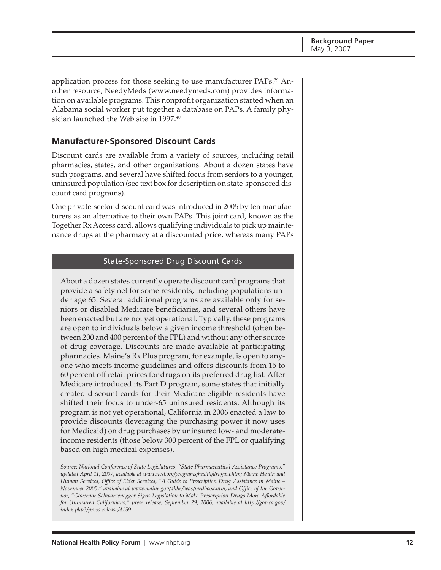<span id="page-11-0"></span>application process for those seeking to use manufacturer PAPs.<sup>39</sup> Another resource, NeedyMeds ([www.needymeds.com\)](http://www.needymeds.com) provides information on available programs. This nonprofit organization started when an Alabama social worker put together a database on PAPs. A family physician launched the Web site in 1997.<sup>40</sup>

#### **Manufacturer-Sponsored Discount Cards**

Discount cards are available from a variety of sources, including retail pharmacies, states, and other organizations. About a dozen states have such programs, and several have shifted focus from seniors to a younger, uninsured population (see text box for description on state-sponsored discount card programs).

One private-sector discount card was introduced in 2005 by ten manufacturers as an alternative to their own PAPs. This joint card, known as the Together Rx Access card, allows qualifying individuals to pick up maintenance drugs at the pharmacy at a discounted price, whereas many PAPs

#### State-Sponsored Drug Discount Cards

About a dozen states currently operate discount card programs that provide a safety net for some residents, including populations under age 65. Several additional programs are available only for seniors or disabled Medicare beneficiaries, and several others have been enacted but are not yet operational. Typically, these programs are open to individuals below a given income threshold (often between 200 and 400 percent of the FPL) and without any other source of drug coverage. Discounts are made available at participating pharmacies. Maine's Rx Plus program, for example, is open to anyone who meets income guidelines and offers discounts from 15 to 60 percent off retail prices for drugs on its preferred drug list. After Medicare introduced its Part D program, some states that initially created discount cards for their Medicare-eligible residents have shifted their focus to under-65 uninsured residents. Although its program is not yet operational, California in 2006 enacted a law to provide discounts (leveraging the purchasing power it now uses for Medicaid) on drug purchases by uninsured low- and moderateincome residents (those below 300 percent of the FPL or qualifying based on high medical expenses).

*Source: National Conference of State Legislatures, "State Pharmaceutical Assistance Programs," updated April 11, 2007, available at [www.ncsl.org/programs/health/drugaid.htm;](http://www.ncsl.org/programs/health/drugaid.htm) Maine Health and Human Services, Office of Elder Services, "A Guide to Prescription Drug Assistance in Maine – November 2005," available at [www.maine.gov/dhhs/beas/medbook.htm;](http://www.maine.gov/dhhs/beas/medbook.htm) and Office of the Governor, "Governor Schwarzenegger Signs Legislation to Make Prescription Drugs More Affordable for Uninsured Californians," press release, September 29, 2006, available at [http://gov.ca.gov/](http://gov.ca.gov) index.php?/press-release/4159.*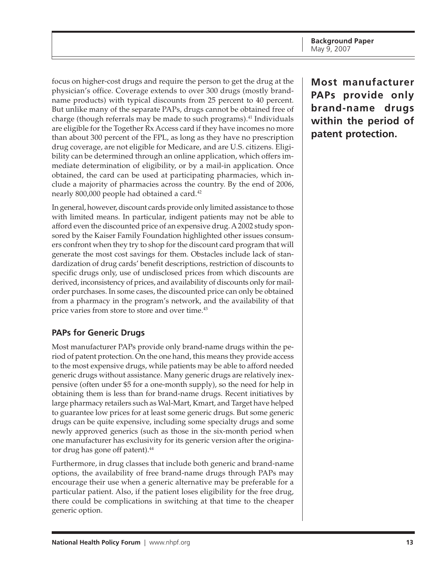<span id="page-12-0"></span>focus on higher-cost drugs and require the person to get the drug at the physician's office. Coverage extends to over 300 drugs (mostly brandname products) with typical discounts from 25 percent to 40 percent. But unlike many of the separate PAPs, drugs cannot be obtained free of charge (though referrals may be made to such programs). $41$  Individuals are eligible for the Together Rx Access card if they have incomes no more than about 300 percent of the FPL, as long as they have no prescription drug coverage, are not eligible for Medicare, and are U.S. citizens. Eligibility can be determined through an online application, which offers immediate determination of eligibility, or by a mail-in application. Once obtained, the card can be used at participating pharmacies, which include a majority of pharmacies across the country. By the end of 2006, nearly 800,000 people had obtained a card.<sup>42</sup>

In general, however, discount cards provide only limited assistance to those with limited means. In particular, indigent patients may not be able to afford even the discounted price of an expensive drug. A 2002 study sponsored by the Kaiser Family Foundation highlighted other issues consumers confront when they try to shop for the discount card program that will generate the most cost savings for them. Obstacles include lack of standardization of drug cards' benefit descriptions, restriction of discounts to specific drugs only, use of undisclosed prices from which discounts are derived, inconsistency of prices, and availability of discounts only for mailorder purchases. In some cases, the discounted price can only be obtained from a pharmacy in the program's network, and the availability of that price varies from store to store and over time.<sup>43</sup>

## **PAPs for Generic Drugs**

Most manufacturer PAPs provide only brand-name drugs within the period of patent protection. On the one hand, this means they provide access to the most expensive drugs, while patients may be able to afford needed generic drugs without assistance. Many generic drugs are relatively inexpensive (often under \$5 for a one-month supply), so the need for help in obtaining them is less than for brand-name drugs. Recent initiatives by large pharmacy retailers such as Wal-Mart, Kmart, and Target have helped to guarantee low prices for at least some generic drugs. But some generic drugs can be quite expensive, including some specialty drugs and some newly approved generics (such as those in the six-month period when one manufacturer has exclusivity for its generic version after the originator drug has gone off patent).<sup>44</sup>

Furthermore, in drug classes that include both generic and brand-name options, the availability of free brand-name drugs through PAPs may encourage their use when a generic alternative may be preferable for a particular patient. Also, if the patient loses eligibility for the free drug, there could be complications in switching at that time to the cheaper generic option.

**Most manufacturer PAPs provide only brand-name drugs within the period of patent protection.**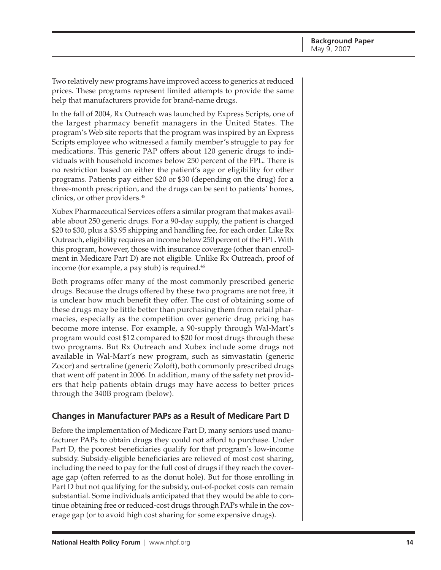<span id="page-13-0"></span>Two relatively new programs have improved access to generics at reduced prices. These programs represent limited attempts to provide the same help that manufacturers provide for brand-name drugs.

In the fall of 2004, Rx Outreach was launched by Express Scripts, one of the largest pharmacy benefit managers in the United States. The program's Web site reports that the program was inspired by an Express Scripts employee who witnessed a family member's struggle to pay for medications. This generic PAP offers about 120 generic drugs to individuals with household incomes below 250 percent of the FPL. There is no restriction based on either the patient's age or eligibility for other programs. Patients pay either \$20 or \$30 (depending on the drug) for a three-month prescription, and the drugs can be sent to patients' homes, clinics, or other providers.45

Xubex Pharmaceutical Services offers a similar program that makes available about 250 generic drugs. For a 90-day supply, the patient is charged \$20 to \$30, plus a \$3.95 shipping and handling fee, for each order. Like Rx Outreach, eligibility requires an income below 250 percent of the FPL. With this program, however, those with insurance coverage (other than enrollment in Medicare Part D) are not eligible. Unlike Rx Outreach, proof of income (for example, a pay stub) is required. $46$ 

Both programs offer many of the most commonly prescribed generic drugs. Because the drugs offered by these two programs are not free, it is unclear how much benefit they offer. The cost of obtaining some of these drugs may be little better than purchasing them from retail pharmacies, especially as the competition over generic drug pricing has become more intense. For example, a 90-supply through Wal-Mart's program would cost \$12 compared to \$20 for most drugs through these two programs. But Rx Outreach and Xubex include some drugs not available in Wal-Mart's new program, such as simvastatin (generic Zocor) and sertraline (generic Zoloft), both commonly prescribed drugs that went off patent in 2006. In addition, many of the safety net providers that help patients obtain drugs may have access to better prices through the 340B program (below).

#### **Changes in Manufacturer PAPs as a Result of Medicare Part D**

Before the implementation of Medicare Part D, many seniors used manufacturer PAPs to obtain drugs they could not afford to purchase. Under Part D, the poorest beneficiaries qualify for that program's low-income subsidy. Subsidy-eligible beneficiaries are relieved of most cost sharing, including the need to pay for the full cost of drugs if they reach the coverage gap (often referred to as the donut hole). But for those enrolling in Part D but not qualifying for the subsidy, out-of-pocket costs can remain substantial. Some individuals anticipated that they would be able to continue obtaining free or reduced-cost drugs through PAPs while in the coverage gap (or to avoid high cost sharing for some expensive drugs).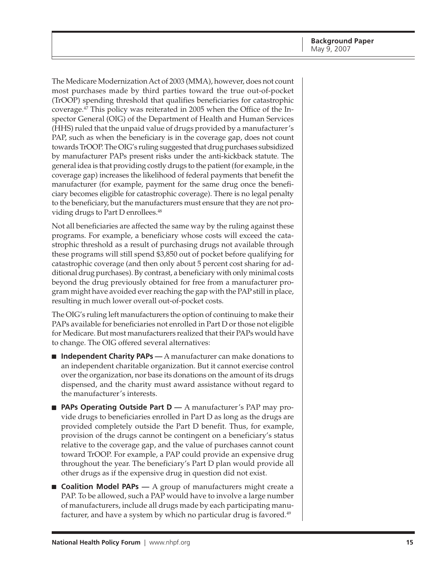The Medicare Modernization Act of 2003 (MMA), however, does not count most purchases made by third parties toward the true out-of-pocket (TrOOP) spending threshold that qualifies beneficiaries for catastrophic coverage.47 This policy was reiterated in 2005 when the Office of the Inspector General (OIG) of the Department of Health and Human Services (HHS) ruled that the unpaid value of drugs provided by a manufacturer's PAP, such as when the beneficiary is in the coverage gap, does not count towards TrOOP. The OIG's ruling suggested that drug purchases subsidized by manufacturer PAPs present risks under the anti-kickback statute. The general idea is that providing costly drugs to the patient (for example, in the coverage gap) increases the likelihood of federal payments that benefit the manufacturer (for example, payment for the same drug once the beneficiary becomes eligible for catastrophic coverage). There is no legal penalty to the beneficiary, but the manufacturers must ensure that they are not providing drugs to Part D enrollees.<sup>48</sup>

Not all beneficiaries are affected the same way by the ruling against these programs. For example, a beneficiary whose costs will exceed the catastrophic threshold as a result of purchasing drugs not available through these programs will still spend \$3,850 out of pocket before qualifying for catastrophic coverage (and then only about 5 percent cost sharing for additional drug purchases). By contrast, a beneficiary with only minimal costs beyond the drug previously obtained for free from a manufacturer program might have avoided ever reaching the gap with the PAP still in place, resulting in much lower overall out-of-pocket costs.

The OIG's ruling left manufacturers the option of continuing to make their PAPs available for beneficiaries not enrolled in Part D or those not eligible for Medicare. But most manufacturers realized that their PAPs would have to change. The OIG offered several alternatives:

- **Independent Charity PAPs** A manufacturer can make donations to an independent charitable organization. But it cannot exercise control over the organization, nor base its donations on the amount of its drugs dispensed, and the charity must award assistance without regard to the manufacturer's interests.
- **PAPs Operating Outside Part D** A manufacturer's PAP may provide drugs to beneficiaries enrolled in Part D as long as the drugs are provided completely outside the Part D benefit. Thus, for example, provision of the drugs cannot be contingent on a beneficiary's status relative to the coverage gap, and the value of purchases cannot count toward TrOOP. For example, a PAP could provide an expensive drug throughout the year. The beneficiary's Part D plan would provide all other drugs as if the expensive drug in question did not exist.
- **Coalition Model PAPs** A group of manufacturers might create a PAP. To be allowed, such a PAP would have to involve a large number of manufacturers, include all drugs made by each participating manufacturer, and have a system by which no particular drug is favored.<sup>49</sup>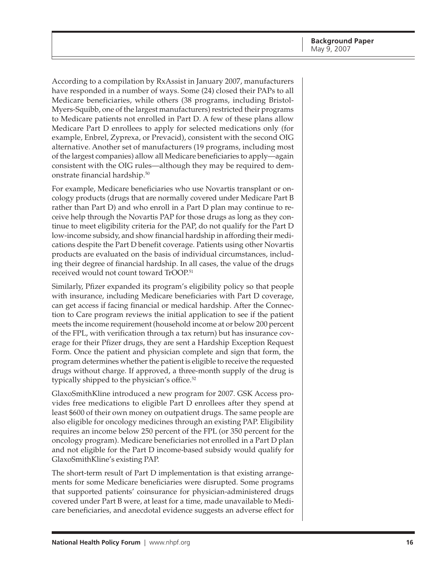According to a compilation by RxAssist in January 2007, manufacturers have responded in a number of ways. Some (24) closed their PAPs to all Medicare beneficiaries, while others (38 programs, including Bristol-Myers-Squibb, one of the largest manufacturers) restricted their programs to Medicare patients not enrolled in Part D. A few of these plans allow Medicare Part D enrollees to apply for selected medications only (for example, Enbrel, Zyprexa, or Prevacid), consistent with the second OIG alternative. Another set of manufacturers (19 programs, including most of the largest companies) allow all Medicare beneficiaries to apply—again consistent with the OIG rules—although they may be required to demonstrate financial hardship.50

For example, Medicare beneficiaries who use Novartis transplant or oncology products (drugs that are normally covered under Medicare Part B rather than Part D) and who enroll in a Part D plan may continue to receive help through the Novartis PAP for those drugs as long as they continue to meet eligibility criteria for the PAP, do not qualify for the Part D low-income subsidy, and show financial hardship in affording their medications despite the Part D benefit coverage. Patients using other Novartis products are evaluated on the basis of individual circumstances, including their degree of financial hardship. In all cases, the value of the drugs received would not count toward TrOOP.51

Similarly, Pfizer expanded its program's eligibility policy so that people with insurance, including Medicare beneficiaries with Part D coverage, can get access if facing financial or medical hardship. After the Connection to Care program reviews the initial application to see if the patient meets the income requirement (household income at or below 200 percent of the FPL, with verification through a tax return) but has insurance coverage for their Pfizer drugs, they are sent a Hardship Exception Request Form. Once the patient and physician complete and sign that form, the program determines whether the patient is eligible to receive the requested drugs without charge. If approved, a three-month supply of the drug is typically shipped to the physician's office.<sup>52</sup>

GlaxoSmithKline introduced a new program for 2007. GSK Access provides free medications to eligible Part D enrollees after they spend at least \$600 of their own money on outpatient drugs. The same people are also eligible for oncology medicines through an existing PAP. Eligibility requires an income below 250 percent of the FPL (or 350 percent for the oncology program). Medicare beneficiaries not enrolled in a Part D plan and not eligible for the Part D income-based subsidy would qualify for GlaxoSmithKline's existing PAP.

The short-term result of Part D implementation is that existing arrangements for some Medicare beneficiaries were disrupted. Some programs that supported patients' coinsurance for physician-administered drugs covered under Part B were, at least for a time, made unavailable to Medicare beneficiaries, and anecdotal evidence suggests an adverse effect for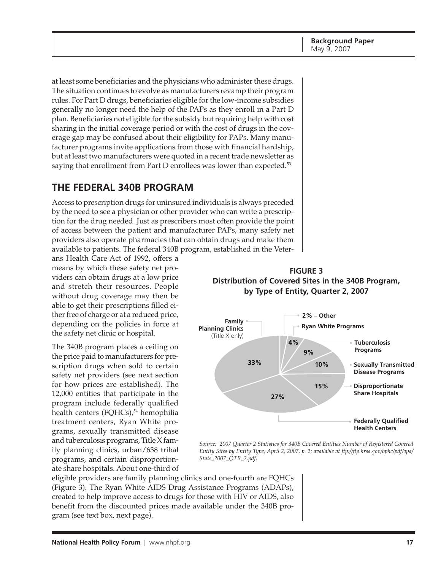<span id="page-16-0"></span>at least some beneficiaries and the physicians who administer these drugs. The situation continues to evolve as manufacturers revamp their program rules. For Part D drugs, beneficiaries eligible for the low-income subsidies generally no longer need the help of the PAPs as they enroll in a Part D plan. Beneficiaries not eligible for the subsidy but requiring help with cost sharing in the initial coverage period or with the cost of drugs in the coverage gap may be confused about their eligibility for PAPs. Many manufacturer programs invite applications from those with financial hardship, but at least two manufacturers were quoted in a recent trade newsletter as saying that enrollment from Part D enrollees was lower than expected.<sup>53</sup>

# **THE FEDERAL 340B PROGRAM**

Access to prescription drugs for uninsured individuals is always preceded by the need to see a physician or other provider who can write a prescription for the drug needed. Just as prescribers most often provide the point of access between the patient and manufacturer PAPs, many safety net providers also operate pharmacies that can obtain drugs and make them available to patients. The federal 340B program, established in the Veter-

ans Health Care Act of 1992, offers a means by which these safety net providers can obtain drugs at a low price and stretch their resources. People without drug coverage may then be able to get their prescriptions filled either free of charge or at a reduced price, depending on the policies in force at the safety net clinic or hospital.

The 340B program places a ceiling on the price paid to manufacturers for prescription drugs when sold to certain safety net providers (see next section for how prices are established). The 12,000 entities that participate in the program include federally qualified health centers (FQHCs),<sup>54</sup> hemophilia treatment centers, Ryan White programs, sexually transmitted disease and tuberculosis programs, Title X family planning clinics, urban/638 tribal programs, and certain disproportionate share hospitals. About one-third of





*Source: 2007 Quarter 2 Statistics for 340B Covered Entities Number of Registered Covered Entity Sites by Entity Type, April 2, 2007, p. 2; available at [ftp://ftp.hrsa.gov/bphc/pdf/opa/](ftp://ftp.hrsa.gov/bphc/pdf/opa) Stats\_2007\_QTR\_2.pdf.*

eligible providers are family planning clinics and one-fourth are FQHCs (Figure 3). The Ryan White AIDS Drug Assistance Programs (ADAPs), created to help improve access to drugs for those with HIV or AIDS, also benefit from the discounted prices made available under the 340B program (see text box, next page).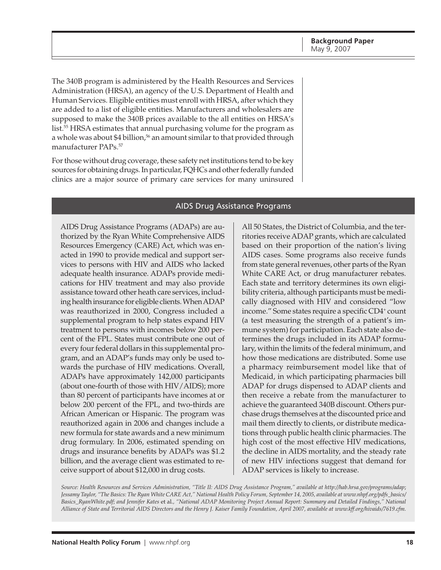The 340B program is administered by the Health Resources and Services Administration (HRSA), an agency of the U.S. Department of Health and Human Services. Eligible entities must enroll with HRSA, after which they are added to a list of eligible entities. Manufacturers and wholesalers are supposed to make the 340B prices available to the all entities on HRSA's list.55 HRSA estimates that annual purchasing volume for the program as a whole was about \$4 billion,<sup>56</sup> an amount similar to that provided through manufacturer PAPs.57

For those without drug coverage, these safety net institutions tend to be key sources for obtaining drugs. In particular, FQHCs and other federally funded clinics are a major source of primary care services for many uninsured

#### AIDS Drug Assistance Programs

AIDS Drug Assistance Programs (ADAPs) are authorized by the Ryan White Comprehensive AIDS Resources Emergency (CARE) Act, which was enacted in 1990 to provide medical and support services to persons with HIV and AIDS who lacked adequate health insurance. ADAPs provide medications for HIV treatment and may also provide assistance toward other heath care services, including health insurance for eligible clients. When ADAP was reauthorized in 2000, Congress included a supplemental program to help states expand HIV treatment to persons with incomes below 200 percent of the FPL. States must contribute one out of every four federal dollars in this supplemental program, and an ADAP's funds may only be used towards the purchase of HIV medications. Overall, ADAPs have approximately 142,000 participants (about one-fourth of those with HIV/AIDS); more than 80 percent of participants have incomes at or below 200 percent of the FPL, and two-thirds are African American or Hispanic. The program was reauthorized again in 2006 and changes include a new formula for state awards and a new minimum drug formulary. In 2006, estimated spending on drugs and insurance benefits by ADAPs was \$1.2 billion, and the average client was estimated to receive support of about \$12,000 in drug costs.

All 50 States, the District of Columbia, and the territories receive ADAP grants, which are calculated based on their proportion of the nation's living AIDS cases. Some programs also receive funds from state general revenues, other parts of the Ryan White CARE Act, or drug manufacturer rebates. Each state and territory determines its own eligibility criteria, although participants must be medically diagnosed with HIV and considered "low income." Some states require a specific CD4+ count (a test measuring the strength of a patient's immune system) for participation. Each state also determines the drugs included in its ADAP formulary, within the limits of the federal minimum, and how those medications are distributed. Some use a pharmacy reimbursement model like that of Medicaid, in which participating pharmacies bill ADAP for drugs dispensed to ADAP clients and then receive a rebate from the manufacturer to achieve the guaranteed 340B discount. Others purchase drugs themselves at the discounted price and mail them directly to clients, or distribute medications through public health clinic pharmacies. The high cost of the most effective HIV medications, the decline in AIDS mortality, and the steady rate of new HIV infections suggest that demand for ADAP services is likely to increase.

Source: Health Resources and Services Administration, "Title II: AIDS Drug Assistance Program," available at <http://hab.hrsa.gov/programs/adap>; *Jessamy Taylor, "The Basics: The Ryan White CARE Act," National Health Policy Forum, September 14, 2005, available at [www.nhpf.org/pdfs\\_basics/](http://www.nhpf.org/pdfs_basics) Basics\_RyanWhite.pdf; and Jennifer Kates* et al.*, "National ADAP Monitoring Project Annual Report: Summary and Detailed Findings," National Alliance of State and Territorial AIDS Directors and the Henry J. Kaiser Family Foundation, April 2007, available at [www.kff.org/hivaids/7619.cfm.](http://www.kff.org/hivaids/7619.cfm)*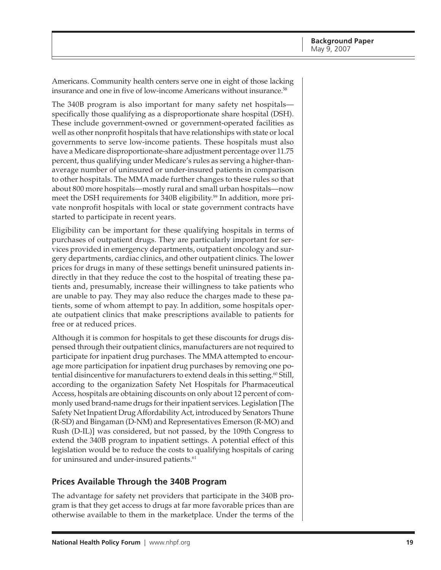<span id="page-18-0"></span>Americans. Community health centers serve one in eight of those lacking insurance and one in five of low-income Americans without insurance.<sup>58</sup>

The 340B program is also important for many safety net hospitals specifically those qualifying as a disproportionate share hospital (DSH). These include government-owned or government-operated facilities as well as other nonprofit hospitals that have relationships with state or local governments to serve low-income patients. These hospitals must also have a Medicare disproportionate-share adjustment percentage over 11.75 percent, thus qualifying under Medicare's rules as serving a higher-thanaverage number of uninsured or under-insured patients in comparison to other hospitals. The MMA made further changes to these rules so that about 800 more hospitals—mostly rural and small urban hospitals—now meet the DSH requirements for 340B eligibility.<sup>59</sup> In addition, more private nonprofit hospitals with local or state government contracts have started to participate in recent years.

Eligibility can be important for these qualifying hospitals in terms of purchases of outpatient drugs. They are particularly important for services provided in emergency departments, outpatient oncology and surgery departments, cardiac clinics, and other outpatient clinics. The lower prices for drugs in many of these settings benefit uninsured patients indirectly in that they reduce the cost to the hospital of treating these patients and, presumably, increase their willingness to take patients who are unable to pay. They may also reduce the charges made to these patients, some of whom attempt to pay. In addition, some hospitals operate outpatient clinics that make prescriptions available to patients for free or at reduced prices.

Although it is common for hospitals to get these discounts for drugs dispensed through their outpatient clinics, manufacturers are not required to participate for inpatient drug purchases. The MMA attempted to encourage more participation for inpatient drug purchases by removing one potential disincentive for manufacturers to extend deals in this setting.<sup>60</sup> Still, according to the organization Safety Net Hospitals for Pharmaceutical Access, hospitals are obtaining discounts on only about 12 percent of commonly used brand-name drugs for their inpatient services. Legislation [The Safety Net Inpatient Drug Affordability Act, introduced by Senators Thune (R-SD) and Bingaman (D-NM) and Representatives Emerson (R-MO) and Rush (D-IL)] was considered, but not passed, by the 109th Congress to extend the 340B program to inpatient settings. A potential effect of this legislation would be to reduce the costs to qualifying hospitals of caring for uninsured and under-insured patients.<sup>61</sup>

#### **Prices Available Through the 340B Program**

The advantage for safety net providers that participate in the 340B program is that they get access to drugs at far more favorable prices than are otherwise available to them in the marketplace. Under the terms of the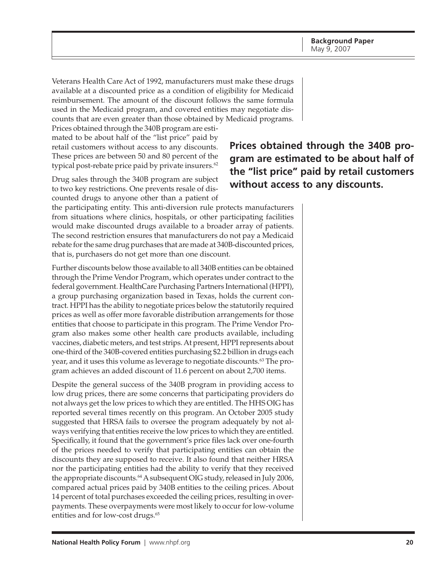Veterans Health Care Act of 1992, manufacturers must make these drugs available at a discounted price as a condition of eligibility for Medicaid reimbursement. The amount of the discount follows the same formula used in the Medicaid program, and covered entities may negotiate discounts that are even greater than those obtained by Medicaid programs.

Prices obtained through the 340B program are estimated to be about half of the "list price" paid by retail customers without access to any discounts. These prices are between 50 and 80 percent of the typical post-rebate price paid by private insurers.<sup>62</sup>

Drug sales through the 340B program are subject to two key restrictions. One prevents resale of discounted drugs to anyone other than a patient of

the participating entity. This anti-diversion rule protects manufacturers from situations where clinics, hospitals, or other participating facilities would make discounted drugs available to a broader array of patients. The second restriction ensures that manufacturers do not pay a Medicaid rebate for the same drug purchases that are made at 340B-discounted prices, that is, purchasers do not get more than one discount.

Further discounts below those available to all 340B entities can be obtained through the Prime Vendor Program, which operates under contract to the federal government. HealthCare Purchasing Partners International (HPPI), a group purchasing organization based in Texas, holds the current contract. HPPI has the ability to negotiate prices below the statutorily required prices as well as offer more favorable distribution arrangements for those entities that choose to participate in this program. The Prime Vendor Program also makes some other health care products available, including vaccines, diabetic meters, and test strips. At present, HPPI represents about one-third of the 340B-covered entities purchasing \$2.2 billion in drugs each year, and it uses this volume as leverage to negotiate discounts.63 The program achieves an added discount of 11.6 percent on about 2,700 items.

Despite the general success of the 340B program in providing access to low drug prices, there are some concerns that participating providers do not always get the low prices to which they are entitled. The HHS OIG has reported several times recently on this program. An October 2005 study suggested that HRSA fails to oversee the program adequately by not always verifying that entities receive the low prices to which they are entitled. Specifically, it found that the government's price files lack over one-fourth of the prices needed to verify that participating entities can obtain the discounts they are supposed to receive. It also found that neither HRSA nor the participating entities had the ability to verify that they received the appropriate discounts.<sup>64</sup> A subsequent OIG study, released in July 2006, compared actual prices paid by 340B entities to the ceiling prices. About 14 percent of total purchases exceeded the ceiling prices, resulting in overpayments. These overpayments were most likely to occur for low-volume entities and for low-cost drugs.<sup>65</sup>

**Prices obtained through the 340B program are estimated to be about half of the "list price" paid by retail customers without access to any discounts.**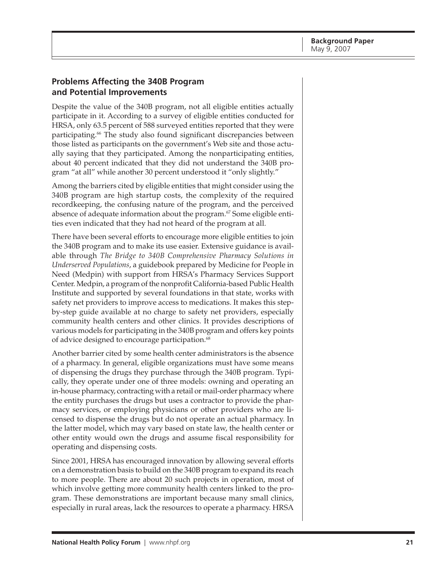#### <span id="page-20-0"></span>**Problems Affecting the 340B Program and Potential Improvements**

Despite the value of the 340B program, not all eligible entities actually participate in it. According to a survey of eligible entities conducted for HRSA, only 63.5 percent of 588 surveyed entities reported that they were participating.66 The study also found significant discrepancies between those listed as participants on the government's Web site and those actually saying that they participated. Among the nonparticipating entities, about 40 percent indicated that they did not understand the 340B program "at all" while another 30 percent understood it "only slightly."

Among the barriers cited by eligible entities that might consider using the 340B program are high startup costs, the complexity of the required recordkeeping, the confusing nature of the program, and the perceived absence of adequate information about the program.<sup>67</sup> Some eligible entities even indicated that they had not heard of the program at all.

There have been several efforts to encourage more eligible entities to join the 340B program and to make its use easier. Extensive guidance is available through *The Bridge to 340B Comprehensive Pharmacy Solutions in Underserved Populations*, a guidebook prepared by Medicine for People in Need (Medpin) with support from HRSA's Pharmacy Services Support Center. Medpin, a program of the nonprofit California-based Public Health Institute and supported by several foundations in that state, works with safety net providers to improve access to medications. It makes this stepby-step guide available at no charge to safety net providers, especially community health centers and other clinics. It provides descriptions of various models for participating in the 340B program and offers key points of advice designed to encourage participation.<sup>68</sup>

Another barrier cited by some health center administrators is the absence of a pharmacy. In general, eligible organizations must have some means of dispensing the drugs they purchase through the 340B program. Typically, they operate under one of three models: owning and operating an in-house pharmacy, contracting with a retail or mail-order pharmacy where the entity purchases the drugs but uses a contractor to provide the pharmacy services, or employing physicians or other providers who are licensed to dispense the drugs but do not operate an actual pharmacy. In the latter model, which may vary based on state law, the health center or other entity would own the drugs and assume fiscal responsibility for operating and dispensing costs.

Since 2001, HRSA has encouraged innovation by allowing several efforts on a demonstration basis to build on the 340B program to expand its reach to more people. There are about 20 such projects in operation, most of which involve getting more community health centers linked to the program. These demonstrations are important because many small clinics, especially in rural areas, lack the resources to operate a pharmacy. HRSA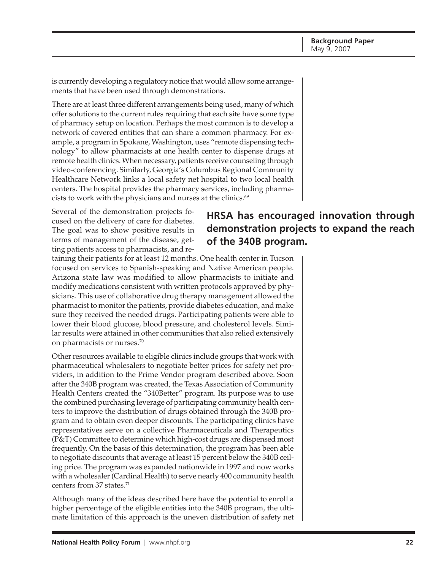is currently developing a regulatory notice that would allow some arrangements that have been used through demonstrations.

There are at least three different arrangements being used, many of which offer solutions to the current rules requiring that each site have some type of pharmacy setup on location. Perhaps the most common is to develop a network of covered entities that can share a common pharmacy. For example, a program in Spokane, Washington, uses "remote dispensing technology" to allow pharmacists at one health center to dispense drugs at remote health clinics. When necessary, patients receive counseling through video-conferencing. Similarly, Georgia's Columbus Regional Community Healthcare Network links a local safety net hospital to two local health centers. The hospital provides the pharmacy services, including pharmacists to work with the physicians and nurses at the clinics.<sup>69</sup>

Several of the demonstration projects focused on the delivery of care for diabetes. The goal was to show positive results in terms of management of the disease, getting patients access to pharmacists, and re-

# **HRSA has encouraged innovation through demonstration projects to expand the reach of the 340B program.**

taining their patients for at least 12 months. One health center in Tucson focused on services to Spanish-speaking and Native American people. Arizona state law was modified to allow pharmacists to initiate and modify medications consistent with written protocols approved by physicians. This use of collaborative drug therapy management allowed the pharmacist to monitor the patients, provide diabetes education, and make sure they received the needed drugs. Participating patients were able to lower their blood glucose, blood pressure, and cholesterol levels. Similar results were attained in other communities that also relied extensively on pharmacists or nurses.70

Other resources available to eligible clinics include groups that work with pharmaceutical wholesalers to negotiate better prices for safety net providers, in addition to the Prime Vendor program described above. Soon after the 340B program was created, the Texas Association of Community Health Centers created the "340Better" program. Its purpose was to use the combined purchasing leverage of participating community health centers to improve the distribution of drugs obtained through the 340B program and to obtain even deeper discounts. The participating clinics have representatives serve on a collective Pharmaceuticals and Therapeutics (P&T) Committee to determine which high-cost drugs are dispensed most frequently. On the basis of this determination, the program has been able to negotiate discounts that average at least 15 percent below the 340B ceiling price. The program was expanded nationwide in 1997 and now works with a wholesaler (Cardinal Health) to serve nearly 400 community health centers from 37 states.<sup>71</sup>

Although many of the ideas described here have the potential to enroll a higher percentage of the eligible entities into the 340B program, the ultimate limitation of this approach is the uneven distribution of safety net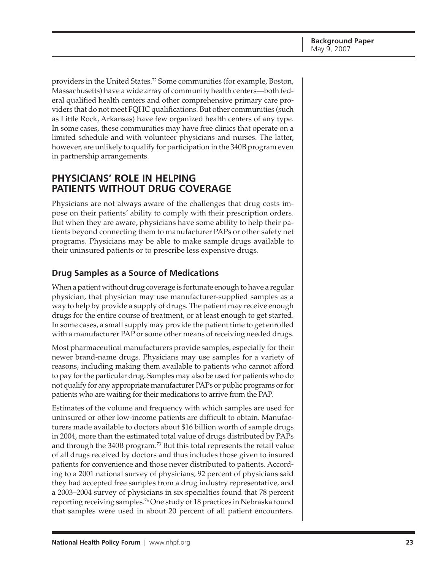<span id="page-22-0"></span>providers in the United States.<sup>72</sup> Some communities (for example, Boston, Massachusetts) have a wide array of community health centers—both federal qualified health centers and other comprehensive primary care providers that do not meet FQHC qualifications. But other communities (such as Little Rock, Arkansas) have few organized health centers of any type. In some cases, these communities may have free clinics that operate on a limited schedule and with volunteer physicians and nurses. The latter, however, are unlikely to qualify for participation in the 340B program even in partnership arrangements.

## **PHYSICIANS' ROLE IN HELPING PATIENTS WITHOUT DRUG COVERAGE**

Physicians are not always aware of the challenges that drug costs impose on their patients' ability to comply with their prescription orders. But when they are aware, physicians have some ability to help their patients beyond connecting them to manufacturer PAPs or other safety net programs. Physicians may be able to make sample drugs available to their uninsured patients or to prescribe less expensive drugs.

## **Drug Samples as a Source of Medications**

When a patient without drug coverage is fortunate enough to have a regular physician, that physician may use manufacturer-supplied samples as a way to help by provide a supply of drugs. The patient may receive enough drugs for the entire course of treatment, or at least enough to get started. In some cases, a small supply may provide the patient time to get enrolled with a manufacturer PAP or some other means of receiving needed drugs.

Most pharmaceutical manufacturers provide samples, especially for their newer brand-name drugs. Physicians may use samples for a variety of reasons, including making them available to patients who cannot afford to pay for the particular drug. Samples may also be used for patients who do not qualify for any appropriate manufacturer PAPs or public programs or for patients who are waiting for their medications to arrive from the PAP.

Estimates of the volume and frequency with which samples are used for uninsured or other low-income patients are difficult to obtain. Manufacturers made available to doctors about \$16 billion worth of sample drugs in 2004, more than the estimated total value of drugs distributed by PAPs and through the 340B program.73 But this total represents the retail value of all drugs received by doctors and thus includes those given to insured patients for convenience and those never distributed to patients. According to a 2001 national survey of physicians, 92 percent of physicians said they had accepted free samples from a drug industry representative, and a 2003–2004 survey of physicians in six specialties found that 78 percent reporting receiving samples.74 One study of 18 practices in Nebraska found that samples were used in about 20 percent of all patient encounters.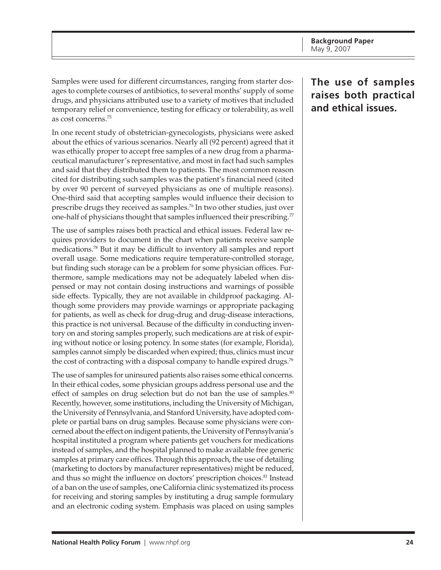Samples were used for different circumstances, ranging from starter dosages to complete courses of antibiotics, to several months' supply of some drugs, and physicians attributed use to a variety of motives that included temporary relief or convenience, testing for efficacy or tolerability, as well as cost concerns.75

In one recent study of obstetrician-gynecologists, physicians were asked about the ethics of various scenarios. Nearly all (92 percent) agreed that it was ethically proper to accept free samples of a new drug from a pharmaceutical manufacturer's representative, and most in fact had such samples and said that they distributed them to patients. The most common reason cited for distributing such samples was the patient's financial need (cited by over 90 percent of surveyed physicians as one of multiple reasons). One-third said that accepting samples would influence their decision to prescribe drugs they received as samples.76 In two other studies, just over one-half of physicians thought that samples influenced their prescribing.<sup>77</sup>

The use of samples raises both practical and ethical issues. Federal law requires providers to document in the chart when patients receive sample medications.78 But it may be difficult to inventory all samples and report overall usage. Some medications require temperature-controlled storage, but finding such storage can be a problem for some physician offices. Furthermore, sample medications may not be adequately labeled when dispensed or may not contain dosing instructions and warnings of possible side effects. Typically, they are not available in childproof packaging. Although some providers may provide warnings or appropriate packaging for patients, as well as check for drug-drug and drug-disease interactions, this practice is not universal. Because of the difficulty in conducting inventory on and storing samples properly, such medications are at risk of expiring without notice or losing potency. In some states (for example, Florida), samples cannot simply be discarded when expired; thus, clinics must incur the cost of contracting with a disposal company to handle expired drugs.<sup>79</sup>

The use of samples for uninsured patients also raises some ethical concerns. In their ethical codes, some physician groups address personal use and the effect of samples on drug selection but do not ban the use of samples. $80$ Recently, however, some institutions, including the University of Michigan, the University of Pennsylvania, and Stanford University, have adopted complete or partial bans on drug samples. Because some physicians were concerned about the effect on indigent patients, the University of Pennsylvania's hospital instituted a program where patients get vouchers for medications instead of samples, and the hospital planned to make available free generic samples at primary care offices. Through this approach, the use of detailing (marketing to doctors by manufacturer representatives) might be reduced, and thus so might the influence on doctors' prescription choices.<sup>81</sup> Instead of a ban on the use of samples, one California clinic systematized its process for receiving and storing samples by instituting a drug sample formulary and an electronic coding system. Emphasis was placed on using samples

# **The use of samples raises both practical and ethical issues.**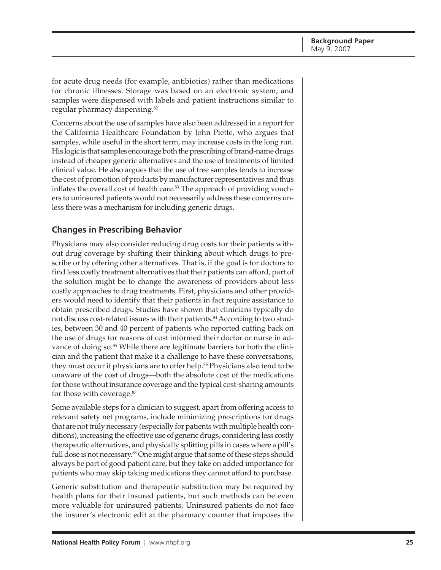<span id="page-24-0"></span>for acute drug needs (for example, antibiotics) rather than medications for chronic illnesses. Storage was based on an electronic system, and samples were dispensed with labels and patient instructions similar to regular pharmacy dispensing.82

Concerns about the use of samples have also been addressed in a report for the California Healthcare Foundation by John Piette, who argues that samples, while useful in the short term, may increase costs in the long run. His logic is that samples encourage both the prescribing of brand-name drugs instead of cheaper generic alternatives and the use of treatments of limited clinical value. He also argues that the use of free samples tends to increase the cost of promotion of products by manufacturer representatives and thus inflates the overall cost of health care.<sup>83</sup> The approach of providing vouchers to uninsured patients would not necessarily address these concerns unless there was a mechanism for including generic drugs.

### **Changes in Prescribing Behavior**

Physicians may also consider reducing drug costs for their patients without drug coverage by shifting their thinking about which drugs to prescribe or by offering other alternatives. That is, if the goal is for doctors to find less costly treatment alternatives that their patients can afford, part of the solution might be to change the awareness of providers about less costly approaches to drug treatments. First, physicians and other providers would need to identify that their patients in fact require assistance to obtain prescribed drugs. Studies have shown that clinicians typically do not discuss cost-related issues with their patients.<sup>84</sup> According to two studies, between 30 and 40 percent of patients who reported cutting back on the use of drugs for reasons of cost informed their doctor or nurse in advance of doing so.<sup>85</sup> While there are legitimate barriers for both the clinician and the patient that make it a challenge to have these conversations, they must occur if physicians are to offer help.<sup>86</sup> Physicians also tend to be unaware of the cost of drugs—both the absolute cost of the medications for those without insurance coverage and the typical cost-sharing amounts for those with coverage.87

Some available steps for a clinician to suggest, apart from offering access to relevant safety net programs, include minimizing prescriptions for drugs that are not truly necessary (especially for patients with multiple health conditions), increasing the effective use of generic drugs, considering less costly therapeutic alternatives, and physically splitting pills in cases where a pill's full dose is not necessary.<sup>88</sup> One might argue that some of these steps should always be part of good patient care, but they take on added importance for patients who may skip taking medications they cannot afford to purchase.

Generic substitution and therapeutic substitution may be required by health plans for their insured patients, but such methods can be even more valuable for uninsured patients. Uninsured patients do not face the insurer's electronic edit at the pharmacy counter that imposes the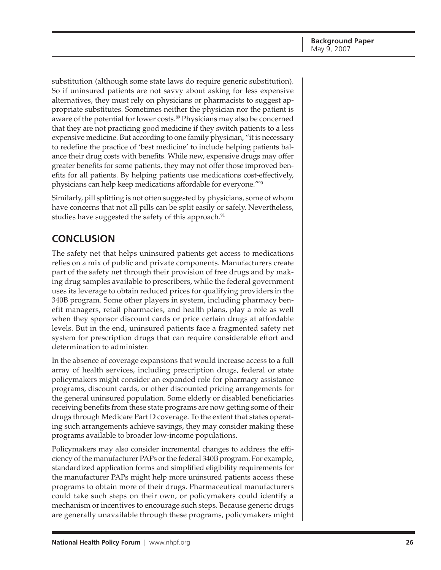<span id="page-25-0"></span>substitution (although some state laws do require generic substitution). So if uninsured patients are not savvy about asking for less expensive alternatives, they must rely on physicians or pharmacists to suggest appropriate substitutes. Sometimes neither the physician nor the patient is aware of the potential for lower costs.<sup>89</sup> Physicians may also be concerned that they are not practicing good medicine if they switch patients to a less expensive medicine. But according to one family physician, "it is necessary to redefine the practice of 'best medicine' to include helping patients balance their drug costs with benefits. While new, expensive drugs may offer greater benefits for some patients, they may not offer those improved benefits for all patients. By helping patients use medications cost-effectively, physicians can help keep medications affordable for everyone."90

Similarly, pill splitting is not often suggested by physicians, some of whom have concerns that not all pills can be split easily or safely. Nevertheless, studies have suggested the safety of this approach.<sup>91</sup>

# **CONCLUSION**

The safety net that helps uninsured patients get access to medications relies on a mix of public and private components. Manufacturers create part of the safety net through their provision of free drugs and by making drug samples available to prescribers, while the federal government uses its leverage to obtain reduced prices for qualifying providers in the 340B program. Some other players in system, including pharmacy benefit managers, retail pharmacies, and health plans, play a role as well when they sponsor discount cards or price certain drugs at affordable levels. But in the end, uninsured patients face a fragmented safety net system for prescription drugs that can require considerable effort and determination to administer.

In the absence of coverage expansions that would increase access to a full array of health services, including prescription drugs, federal or state policymakers might consider an expanded role for pharmacy assistance programs, discount cards, or other discounted pricing arrangements for the general uninsured population. Some elderly or disabled beneficiaries receiving benefits from these state programs are now getting some of their drugs through Medicare Part D coverage. To the extent that states operating such arrangements achieve savings, they may consider making these programs available to broader low-income populations.

Policymakers may also consider incremental changes to address the efficiency of the manufacturer PAPs or the federal 340B program. For example, standardized application forms and simplified eligibility requirements for the manufacturer PAPs might help more uninsured patients access these programs to obtain more of their drugs. Pharmaceutical manufacturers could take such steps on their own, or policymakers could identify a mechanism or incentives to encourage such steps. Because generic drugs are generally unavailable through these programs, policymakers might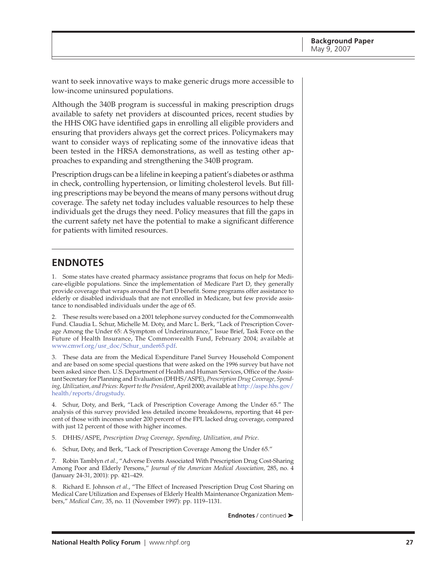<span id="page-26-0"></span>want to seek innovative ways to make generic drugs more accessible to low-income uninsured populations.

Although the 340B program is successful in making prescription drugs available to safety net providers at discounted prices, recent studies by the HHS OIG have identified gaps in enrolling all eligible providers and ensuring that providers always get the correct prices. Policymakers may want to consider ways of replicating some of the innovative ideas that been tested in the HRSA demonstrations, as well as testing other approaches to expanding and strengthening the 340B program.

Prescription drugs can be a lifeline in keeping a patient's diabetes or asthma in check, controlling hypertension, or limiting cholesterol levels. But filling prescriptions may be beyond the means of many persons without drug coverage. The safety net today includes valuable resources to help these individuals get the drugs they need. Policy measures that fill the gaps in the current safety net have the potential to make a significant difference for patients with limited resources.

## **ENDNOTES**

1. Some states have created pharmacy assistance programs that focus on help for Medicare-eligible populations. Since the implementation of Medicare Part D, they generally provide coverage that wraps around the Part D benefit. Some programs offer assistance to elderly or disabled individuals that are not enrolled in Medicare, but few provide assistance to nondisabled individuals under the age of 65.

2. These results were based on a 2001 telephone survey conducted for the Commonwealth Fund. Claudia L. Schur, Michelle M. Doty, and Marc L. Berk, "Lack of Prescription Coverage Among the Under 65: A Symptom of Underinsurance," Issue Brief, Task Force on the Future of Health Insurance, The Commonwealth Fund, February 2004; available at [www.cmwf.org/usr\\_doc/Schur\\_under65.pdf.](http://www.cmwf.org/usr_doc/Schur_under65.pdf)

3. These data are from the Medical Expenditure Panel Survey Household Component and are based on some special questions that were asked on the 1996 survey but have not been asked since then. U.S. Department of Health and Human Services, Office of the Assistant Secretary for Planning and Evaluation (DHHS/ASPE), *Prescription Drug Coverage, Spend[ing, Utilization, and Prices: Report to the President](http://aspe.hhs.gov/health/reports/drugstudy)*, April 2000; available at http://aspe.hhs.gov/ health/reports/drugstudy.

4. Schur, Doty, and Berk, "Lack of Prescription Coverage Among the Under 65." The analysis of this survey provided less detailed income breakdowns, reporting that 44 percent of those with incomes under 200 percent of the FPL lacked drug coverage, compared with just 12 percent of those with higher incomes.

- 5. DHHS/ASPE, *Prescription Drug Coverage, Spending, Utilization, and Price*.
- 6. Schur, Doty, and Berk, "Lack of Prescription Coverage Among the Under 65."

7. Robin Tamblyn *et al.*, "Adverse Events Associated With Prescription Drug Cost-Sharing Among Poor and Elderly Persons," *Journal of the American Medical Association,* 285, no. 4 (January 24-31, 2001): pp. 421–429.

8. Richard E. Johnson *et al.*, "The Effect of Increased Prescription Drug Cost Sharing on Medical Care Utilization and Expenses of Elderly Health Maintenance Organization Members," *Medical Care,* 35, no. 11 (November 1997): pp. 1119–1131.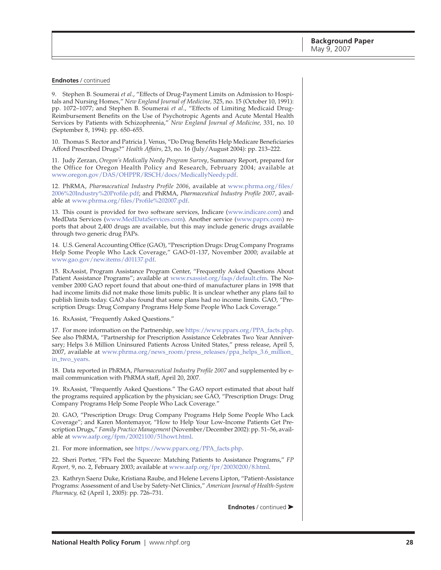9. Stephen B. Soumerai *et al.*, "Effects of Drug-Payment Limits on Admission to Hospitals and Nursing Homes," *New England Journal of Medicine,* 325, no. 15 (October 10, 1991): pp. 1072–1077; and Stephen B. Soumerai *et al*., "Effects of Limiting Medicaid Drug-Reimbursement Benefits on the Use of Psychotropic Agents and Acute Mental Health Services by Patients with Schizophrenia," *New England Journal of Medicine,* 331, no. 10 (September 8, 1994): pp. 650–655.

10. Thomas S. Rector and Patricia J. Venus, "Do Drug Benefits Help Medicare Beneficiaries Afford Prescribed Drugs?" *Health Affairs,* 23, no. 16 (July/August 2004): pp. 213–222.

11. Judy Zerzan, *Oregon's Medically Needy Program Survey*, Summary Report, prepared for the Office for Oregon Health Policy and Research, February 2004; available at [www.oregon.gov/DAS/OHPPR/RSCH/docs/MedicallyNeedy.pdf.](http://www.oregon.gov/DAS/OHPPR/RSCH/docs/MedicallyNeedy.pdf)

12. PhRMA, *Pharmaceutical Industry Profile 2006*, available at www.phrma.org/files/ [2006%20Industry%20Profile.pdf; and PhRMA,](http://www.phrma.org/files/2006%20Industry%20Profile.pdf) *Pharmaceutical Industry Profile 2007*, available at [www.phrma.org/files/Profile%202007.pdf.](http://www.phrma.org/files/Profile%202007.pdf)

13. This count is provided for two software services, Indicare ([www.indicare.com\)](http://www.indicare.com) and MedData Services [\(www.MedDataServices.com\)](http://www.MedDataServices.com). Another service ([www.paprx.com\)](http://www.paprx.com) reports that about 2,400 drugs are available, but this may include generic drugs available through two generic drug PAPs.

14. U.S. General Accounting Office (GAO), "Prescription Drugs: Drug Company Programs Help Some People Who Lack Coverage," GAO-01-137, November 2000; available at [www.gao.gov/new.items/d01137.pdf.](http://www.gao.gov/new.items/d01137.pdf)

15. RxAssist, Program Assistance Program Center, "Frequently Asked Questions About Patient Assistance Programs"; available at [www.rxassist.org/faqs/default.cfm.](http://www.rxassist.org/faqs/default.cfm) The November 2000 GAO report found that about one-third of manufacturer plans in 1998 that had income limits did not make those limits public. It is unclear whether any plans fail to publish limits today. GAO also found that some plans had no income limits. GAO, "Prescription Drugs: Drug Company Programs Help Some People Who Lack Coverage*.*"

16. RxAssist, "Frequently Asked Questions."

17. For more information on the Partnership, see [https://www.pparx.org/PPA\\_facts.php.](https://www.pparx.org/PPA_facts.php) See also PhRMA, "Partnership for Prescription Assistance Celebrates Two Year Anniversary; Helps 3.6 Million Uninsured Patients Across United States," press release, April 5, 2007, available at [www.phrma.org/news\\_room/press\\_releases/ppa\\_helps\\_3.6\\_million\\_](http://www.phrma.org/news_room/press_releases/ppa_helps_3.6_million_in_two_years) in\_two\_years.

18. Data reported in PhRMA, *Pharmaceutical Industry Profile 2007* and supplemented by email communication with PhRMA staff, April 20, 2007.

19. RxAssist, "Frequently Asked Questions." The GAO report estimated that about half the programs required application by the physician; see GAO, "Prescription Drugs: Drug Company Programs Help Some People Who Lack Coverage*.*"

20. GAO, "Prescription Drugs: Drug Company Programs Help Some People Who Lack Coverage"; and Karen Montemayor, "How to Help Your Low-Income Patients Get Prescription Drugs," *Family Practice Management* (November/December 2002): pp. 51–56, available at [www.aafp.org/fpm/20021100/51howt.html.](http://www.aafp.org/fpm/20021100/51howt.html)

21. For more information, see [https://www.pparx.org/PPA\\_facts.php.](https://www.pparx.org/PPA_facts.php)

22. Sheri Porter, "FPs Feel the Squeeze: Matching Patients to Assistance Programs," *FP Report,* 9, no. 2, February 2003; available at [www.aafp.org/fpr/20030200/8.html.](http://www.aafp.org/fpr/20030200/8.html)

23. Kathryn Saenz Duke, Kristiana Raube, and Helene Levens Lipton, "Patient-Assistance Programs: Assessment of and Use by Safety-Net Clinics," *American Journal of Health-System Pharmacy,* 62 (April 1, 2005): pp. 726–731.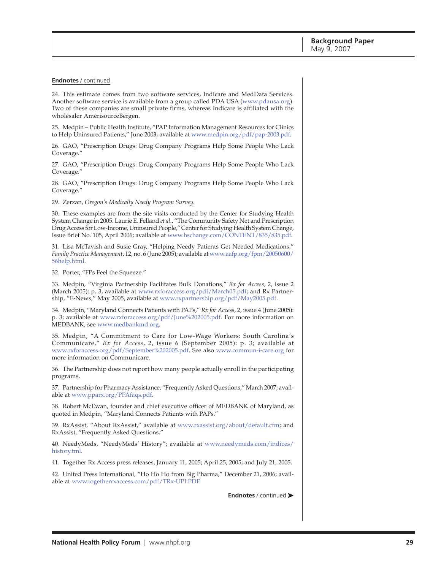24. This estimate comes from two software services, Indicare and MedData Services. Another software service is available from a group called PDA USA ([www.pdausa.org\)](http://www.pdausa.org). Two of these companies are small private firms, whereas Indicare is affiliated with the wholesaler AmerisourceBergen.

25. Medpin – Public Health Institute, "PAP Information Management Resources for Clinics to Help Uninsured Patients," June 2003; available at [www.medpin.org/pdf/pap-2003.pdf.](http://www.medpin.org/pdf/pap-2003.pdf)

26. GAO, "Prescription Drugs: Drug Company Programs Help Some People Who Lack Coverage*.*"

27. GAO, "Prescription Drugs: Drug Company Programs Help Some People Who Lack Coverage*.*"

28. GAO, "Prescription Drugs: Drug Company Programs Help Some People Who Lack Coverage*.*"

29. Zerzan, *Oregon's Medically Needy Program Survey*.

30. These examples are from the site visits conducted by the Center for Studying Health System Change in 2005. Laurie E. Felland *et al*., "The Community Safety Net and Prescription Drug Access for Low-Income, Uninsured People," Center for Studying Health System Change, Issue Brief No. 105, April 2006; available at [www.hschange.com/CONTENT/835/835.pdf.](http://www.hschange.com/CONTENT/835/835.pdf)

31. Lisa McTavish and Susie Gray, "Helping Needy Patients Get Needed Medications," *Family Practice Management*[, 12, no. 6 \(June 2005\); available at www.aafp.org/fpm/20050600/](http://www.aafp.org/fpm/20050600/56help.html) 56help.html.

32. Porter, "FPs Feel the Squeeze."

33. Medpin, "Virginia Partnership Facilitates Bulk Donations," *Rx for Access*, 2, issue 2 (March 2005): p. 3, available at [www.rxforaccess.org/pdf/March05.pdf;](http://www.rxforaccess.org/pdf/March05.pdf) and Rx Partnership, "E-News," May 2005, available at [www.rxpartnership.org/pdf/May2005.pdf.](http://www.rxpartnership.org/pdf/May2005.pdf)

34. Medpin, "Maryland Connects Patients with PAPs," *Rx for Access*, 2, issue 4 (June 2005): p. 3; available at [www.rxforaccess.org/pdf/June%202005.pdf.](http://www.rxforaccess.org/pdf/June%202005.pdf) For more information on MEDBANK, see [www.medbankmd.org.](http://www.medbankmd.org)

35. Medpin, "A Commitment to Care for Low-Wage Workers: South Carolina's Communicare," *Rx for Access*, 2, issue 6 (September 2005): p. 3; available at [www.rxforaccess.org/pdf/September%202005.pdf.](http://www.rxforaccess.org/pdf/September%202005.pdf) See also [www.commun-i-care.org](http://www.commun-i-care.org) for more information on Communicare.

36. The Partnership does not report how many people actually enroll in the participating programs.

37. Partnership for Pharmacy Assistance, "Frequently Asked Questions," March 2007; available at [www.pparx.org/PPAfaqs.pdf.](http://www.pparx.org/PPAfaqs.pdf)

38. Robert McEwan, founder and chief executive officer of MEDBANK of Maryland, as quoted in Medpin, "Maryland Connects Patients with PAPs."

39. RxAssist, "About RxAssist," available at [www.rxassist.org/about/default.cfm;](http://www.rxassist.org/about/default.cfm) and RxAssist, "Frequently Asked Questions."

[40. NeedyMeds, "NeedyMeds' History"; available at www.needymeds.com/indices/](http://www.needymeds.com/indices/history.tml) history.tml.

41. Together Rx Access press releases, January 11, 2005; April 25, 2005; and July 21, 2005.

42. United Press International, "Ho Ho Ho from Big Pharma," December 21, 2006; available at [www.togetherrxaccess.com/pdf/TRx-UPI.PDF.](http://www.togetherrxaccess.com/pdf/TRx-UPI.PDF)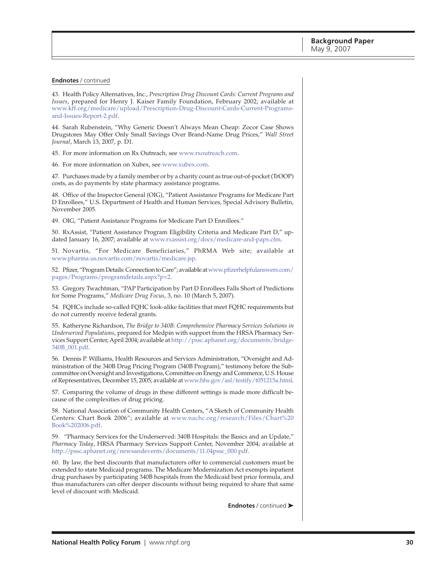43. Health Policy Alternatives, Inc., *Prescription Drug Discount Cards: Current Programs and Issues*, prepared for Henry J. Kaiser Family Foundation, February 2002; available at [www.kff.org/medicare/upload/Prescription-Drug-Discount-Cards-Current-Programs](http://www.kff.org/medicare/upload/Prescription-Drug-Discount-Cards-Current-Programs-and-Issues-Report-2.pdf)and-Issues-Report-2.pdf.

44. Sarah Rubenstein, "Why Generic Doesn't Always Mean Cheap: Zocor Case Shows Drugstores May Offer Only Small Savings Over Brand-Name Drug Prices," *Wall Street Journal*, March 13, 2007, p. D1.

45. For more information on Rx Outreach, see [www.rxoutreach.com.](http://www.rxoutreach.com)

46. For more information on Xubex, see [www.xubex.com.](http://www.xubex.com)

47. Purchases made by a family member or by a charity count as true out-of-pocket (TrOOP) costs, as do payments by state pharmacy assistance programs.

48. Office of the Inspector General (OIG), "Patient Assistance Programs for Medicare Part D Enrollees," U.S. Department of Health and Human Services, Special Advisory Bulletin, November 2005.

49. OIG, "Patient Assistance Programs for Medicare Part D Enrollees."

50. RxAssist, "Patient Assistance Program Eligibility Criteria and Medicare Part D," updated January 16, 2007; available at [www.rxassist.org/docs/medicare-and-paps.cfm.](http://www.rxassist.org/docs/medicare-and-paps.cfm)

51. Novartis, "For Medicare Beneficiaries," PhRMA Web site; available at [www.pharma.us.novartis.com/novartis/medicare.jsp.](http://www.pharma.us.novartis.com/novartis/medicare.jsp)

[52. Pfizer, "Program Details: Connection to Care"; available at www.pfizerhelpfulanswers.com/](http://www.pfizerhelpfulanswers.com/pages/Programs/programdetails.aspx?p=2) pages/Programs/programdetails.aspx?p=2.

53. Gregory Twachtman, "PAP Participation by Part D Enrollees Falls Short of Predictions for Some Programs," *Medicare Drug Focus*, 3, no. 10 (March 5, 2007).

54. FQHCs include so-called FQHC look-alike facilities that meet FQHC requirements but do not currently receive federal grants.

55. Katheryne Richardson, *The Bridge to 340B: Comprehensive Pharmacy Services Solutions in Underserved Populations*, prepared for Medpin with support from the HRSA Pharmacy Ser[vices Support Center, April 2004; available at http://pssc.aphanet.org/documents/bridge-](http://pssc.aphanet.org/documents/bridge-340B_001.pdf)340B\_001.pdf.

56. Dennis P. Williams, Health Resources and Services Administration, "Oversight and Administration of the 340B Drug Pricing Program (340B Program)," testimony before the Subcommittee on Oversight and Investigations, Committee on Energy and Commerce, U.S. House of Representatives, December 15, 2005; available at [www.hhs.gov/asl/testify/t051215a.html.](http://www.hhs.gov/asl/testify/t051215a.html)

57. Comparing the volume of drugs in these different settings is made more difficult because of the complexities of drug pricing.

58. National Association of Community Health Centers, "A Sketch of Community Health [Centers: Chart Book 2006"; available at www.nachc.org/research/Files/Chart%20](http://www.nachc.org/research/Files/Chart%20Book%202006.pdf) Book%202006.pdf.

59. "Pharmacy Services for the Underserved: 340B Hospitals: the Basics and an Update," *Pharmacy Today*, HRSA Pharmacy Services Support Center, November 2004; available at [http://pssc.aphanet.org/newsandevents/documents/11.04pssc\\_000.pdf.](http://pssc.aphanet.org/newsandevents/documents/11.04pssc_000.pdf)

60. By law, the best discounts that manufacturers offer to commercial customers must be extended to state Medicaid programs. The Medicare Modernization Act exempts inpatient drug purchases by participating 340B hospitals from the Medicaid best price formula, and thus manufacturers can offer deeper discounts without being required to share that same level of discount with Medicaid.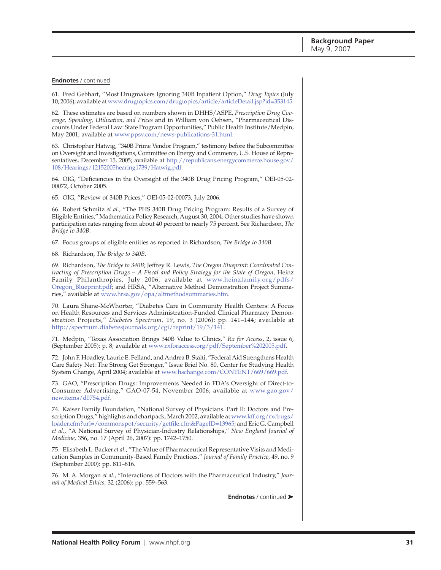61. Fred Gebhart, "Most Drugmakers Ignoring 340B Inpatient Option," *Drug Topics* (July 10, 2006); available at [www.drugtopics.com/drugtopics/article/articleDetail.jsp?id=353145.](http://www.drugtopics.com/drugtopics/article/articleDetail.jsp?id=353145)

62. These estimates are based on numbers shown in DHHS/ASPE, *Prescription Drug Coverage, Spending, Utilization, and Prices* and in William von Oehsen, "Pharmaceutical Discounts Under Federal Law: State Program Opportunities," Public Health Institute/Medpin, May 2001; available at [www.ppsv.com/news-publications-31.html.](http://www.ppsv.com/news-publications-31.html)

63. Christopher Hatwig, "340B Prime Vendor Program," testimony before the Subcommittee on Oversight and Investigations, Committee on Energy and Commerce, U.S. House of Repre[sentatives, December 15, 2005; available at http://republicans.energycommerce.house.gov/](http://republicans.energycommerce.house.gov/108/Hearings/12152005hearing1739/Hatwig.pdf) 108/Hearings/12152005hearing1739/Hatwig.pdf.

64. OIG, "Deficiencies in the Oversight of the 340B Drug Pricing Program," OEI-05-02- 00072, October 2005.

65. OIG, "Review of 340B Prices," OEI-05-02-00073, July 2006.

66. Robert Schmitz *et al.*, "The PHS 340B Drug Pricing Program: Results of a Survey of Eligible Entities," Mathematica Policy Research, August 30, 2004. Other studies have shown participation rates ranging from about 40 percent to nearly 75 percent. See Richardson, *The Bridge to 340B*.

67. Focus groups of eligible entities as reported in Richardson, *The Bridge to 340B.*

68. Richardson, *The Bridge to 340B*.

69. Richardson, *The Bridge to 340B*; Jeffrey R. Lewis, *The Oregon Blueprint: Coordinated Contracting of Prescription Drugs – A Fiscal and Policy Strategy for the State of Oregon*, Heinz [Family Philanthropies, July 2006, available at www.heinzfamily.org/pdfs/](http://www.heinzfamily.org/pdfs/Oregon_Blueprint.pdf) Oregon\_Blueprint.pdf; and HRSA, "Alternative Method Demonstration Project Summaries," available at [www.hrsa.gov/opa/altmethodsummaries.htm.](http://www.hrsa.gov/opa/altmethodsummaries.htm)

70. Laura Shane-McWhorter, "Diabetes Care in Community Health Centers: A Focus on Health Resources and Services Administration-Funded Clinical Pharmacy Demonstration Projects," *Diabetes Spectrum,* 19, no. 3 (2006): pp. 141–144; available at [http://spectrum.diabetesjournals.org/cgi/reprint/19/3/141.](http://spectrum.diabetesjournals.org/cgi/reprint/19/3/141)

71. Medpin, "Texas Association Brings 340B Value to Clinics," *Rx for Access*, 2, issue 6, (September 2005): p. 8; available at [www.rxforaccess.org/pdf/September%202005.pdf.](http://www.rxforaccess.org/pdf/September%202005.pdf)

72. John F. Hoadley, Laurie E. Felland, and Andrea B. Staiti, "Federal Aid Strengthens Health Care Safety Net: The Strong Get Stronger," Issue Brief No. 80, Center for Studying Health System Change, April 2004; available at [www.hschange.com/CONTENT/669/669.pdf.](http://www.hschange.com/CONTENT/669/669.pdf)

73. GAO, "Prescription Drugs: Improvements Needed in FDA's Oversight of Direct-to-[Consumer Advertising," GAO-07-54, November 2006; available at www.gao.gov/](http://www.gao.gov/new.items/d0754.pdf) new.items/d0754.pdf.

74. Kaiser Family Foundation, "National Survey of Physicians. Part II: Doctors and Pre[scription Drugs," highlights and chartpack, March 2002, available at www.kff.org/rxdrugs/](http://www.kff.org/rxdrugs/loader.cfm?url=/commonspot/security/getfile.cfm&PageID=13965) loader.cfm?url=/commonspot/security/getfile.cfm&PageID=13965; and Eric G. Campbell *et al*., "A National Survey of Physician-Industry Relationships," *New England Journal of Medicine,* 356, no. 17 (April 26, 2007): pp. 1742–1750.

75. Elisabeth L. Backer *et al.*, "The Value of Pharmaceutical Representative Visits and Medication Samples in Community-Based Family Practices," *Journal of Family Practice,* 49, no. 9 (September 2000): pp. 811–816.

76. M. A. Morgan *et al.*, "Interactions of Doctors with the Pharmaceutical Industry," *Journal of Medical Ethics,* 32 (2006): pp. 559–563.